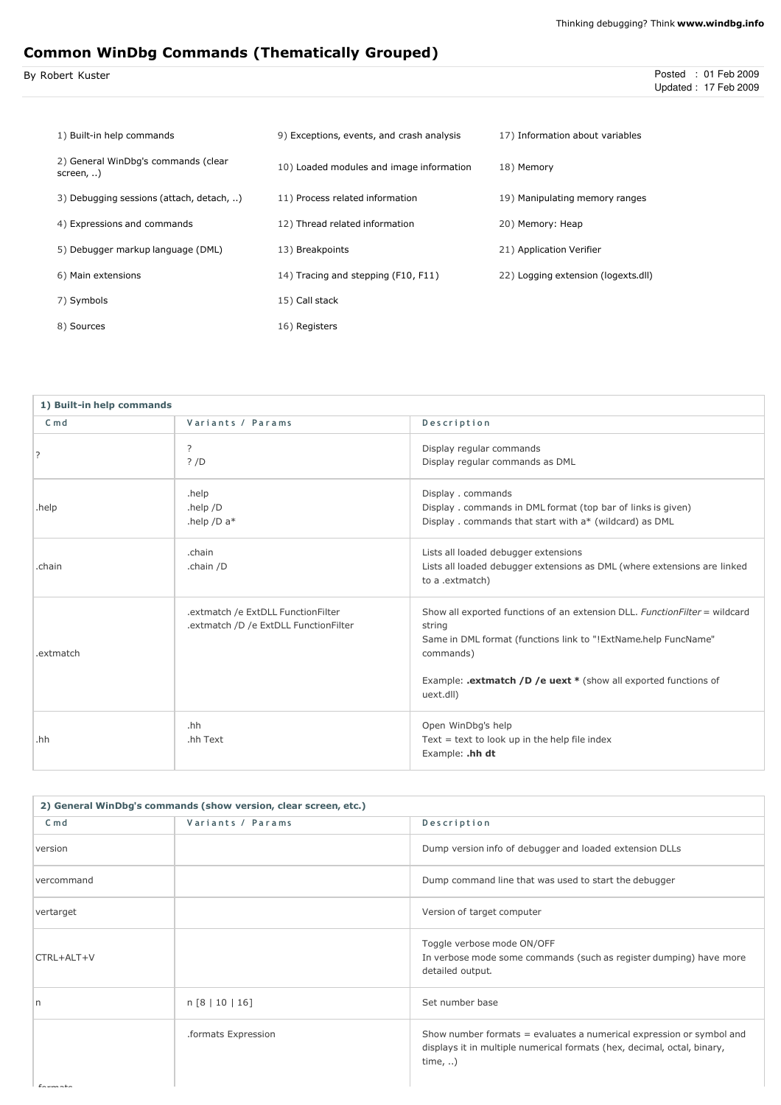# Common WinDbg Commands (Thematically Grouped)

| By Robert Kuster | Posted : 01 Feb 2009 |
|------------------|----------------------|
|                  | Updated: 17 Feb 2009 |

| 1) Built-in help commands                        | 9) Exceptions, events, and crash analysis | 17) Information about variables     |
|--------------------------------------------------|-------------------------------------------|-------------------------------------|
| 2) General WinDbg's commands (clear<br>screen, ) | 10) Loaded modules and image information  | 18) Memory                          |
| 3) Debugging sessions (attach, detach, )         | 11) Process related information           | 19) Manipulating memory ranges      |
| 4) Expressions and commands                      | 12) Thread related information            | 20) Memory: Heap                    |
| 5) Debugger markup language (DML)                | 13) Breakpoints                           | 21) Application Verifier            |
| 6) Main extensions                               | 14) Tracing and stepping (F10, F11)       | 22) Logging extension (logexts.dll) |
| 7) Symbols                                       | 15) Call stack                            |                                     |
| 8) Sources                                       | 16) Registers                             |                                     |

| 1) Built-in help commands |                                                                             |                                                                                                                                                                                                                                                      |
|---------------------------|-----------------------------------------------------------------------------|------------------------------------------------------------------------------------------------------------------------------------------------------------------------------------------------------------------------------------------------------|
| $C \text{ m} d$           | Variants / Params                                                           | Description                                                                                                                                                                                                                                          |
|                           | ?<br>? /D                                                                   | Display regular commands<br>Display regular commands as DML                                                                                                                                                                                          |
| .help                     | .help<br>.help $/D$<br>.help /D $a*$                                        | Display . commands<br>Display . commands in DML format (top bar of links is given)<br>Display . commands that start with a* (wildcard) as DML                                                                                                        |
| .chain                    | .chain<br>.chain /D                                                         | Lists all loaded debugger extensions<br>Lists all loaded debugger extensions as DML (where extensions are linked<br>to a .extmatch)                                                                                                                  |
| .extmatch                 | .extmatch /e ExtDLL FunctionFilter<br>.extmatch /D /e ExtDLL FunctionFilter | Show all exported functions of an extension DLL. Function Filter = wildcard<br>string<br>Same in DML format (functions link to "!ExtName.help FuncName"<br>commands)<br>Example: .extmatch /D /e uext * (show all exported functions of<br>uext.dll) |
| .hh                       | .hh<br>.hh Text                                                             | Open WinDbg's help<br>Text = text to look up in the help file index<br>Example: .hh dt                                                                                                                                                               |

| 2) General WinDbg's commands (show version, clear screen, etc.) |                     |                                                                                                                                                                     |
|-----------------------------------------------------------------|---------------------|---------------------------------------------------------------------------------------------------------------------------------------------------------------------|
| C <sub>m</sub>                                                  | Variants / Params   | Description                                                                                                                                                         |
| version                                                         |                     | Dump version info of debugger and loaded extension DLLs                                                                                                             |
| vercommand                                                      |                     | Dump command line that was used to start the debugger                                                                                                               |
| vertarget                                                       |                     | Version of target computer                                                                                                                                          |
| CTRL+ALT+V                                                      |                     | Toggle verbose mode ON/OFF<br>In verbose mode some commands (such as register dumping) have more<br>detailed output.                                                |
| l n                                                             | n [8   10   16]     | Set number base                                                                                                                                                     |
|                                                                 | .formats Expression | Show number formats = evaluates a numerical expression or symbol and<br>displays it in multiple numerical formats (hex, decimal, octal, binary,<br>time, $\ldots$ ) |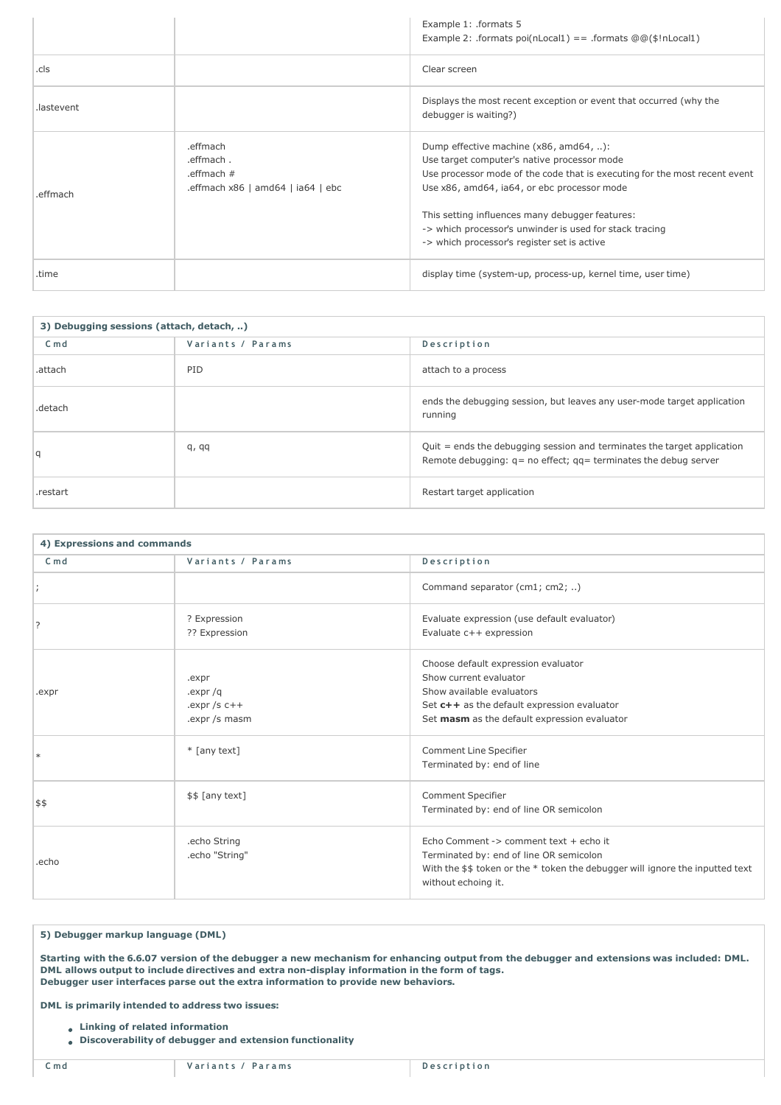|            |                                                                              | Example 1: .formats 5<br>Example 2: .formats poi(nLocal1) == .formats $@@(\$!nLocal1)$                                                                                                                                                                                                                                                                                          |
|------------|------------------------------------------------------------------------------|---------------------------------------------------------------------------------------------------------------------------------------------------------------------------------------------------------------------------------------------------------------------------------------------------------------------------------------------------------------------------------|
| .cls       |                                                                              | Clear screen                                                                                                                                                                                                                                                                                                                                                                    |
| .lastevent |                                                                              | Displays the most recent exception or event that occurred (why the<br>debugger is waiting?)                                                                                                                                                                                                                                                                                     |
| .effmach   | .effmach<br>.effmach.<br>.effmach $#$<br>.effmach $x86$   amd64   ia64   ebc | Dump effective machine (x86, amd64, ):<br>Use target computer's native processor mode<br>Use processor mode of the code that is executing for the most recent event<br>Use x86, amd64, ia64, or ebc processor mode<br>This setting influences many debugger features:<br>-> which processor's unwinder is used for stack tracing<br>-> which processor's register set is active |
| .time      |                                                                              | display time (system-up, process-up, kernel time, user time)                                                                                                                                                                                                                                                                                                                    |

| 3) Debugging sessions (attach, detach, ) |                   |                                                                                                                                                  |
|------------------------------------------|-------------------|--------------------------------------------------------------------------------------------------------------------------------------------------|
| $C \text{ m} d$                          | Variants / Params | Description                                                                                                                                      |
| .attach                                  | PID               | attach to a process                                                                                                                              |
| .detach                                  |                   | ends the debugging session, but leaves any user-mode target application<br>running                                                               |
| l q                                      | q, qq             | Quit = ends the debugging session and terminates the target application<br>Remote debugging: $q = no$ effect; $qq =$ terminates the debug server |
| .restart                                 |                   | Restart target application                                                                                                                       |

| 4) Expressions and commands |                                                        |                                                                                                                                                                                           |
|-----------------------------|--------------------------------------------------------|-------------------------------------------------------------------------------------------------------------------------------------------------------------------------------------------|
| C <sub>m</sub>              | Variants / Params                                      | Description                                                                                                                                                                               |
|                             |                                                        | Command separator (cm1; cm2; )                                                                                                                                                            |
| ?                           | ? Expression<br>?? Expression                          | Evaluate expression (use default evaluator)<br>Evaluate c++ expression                                                                                                                    |
| .expr                       | .expr<br>.expr $/q$<br>.expr /s $c++$<br>.expr /s masm | Choose default expression evaluator<br>Show current evaluator<br>Show available evaluators<br>Set c++ as the default expression evaluator<br>Set masm as the default expression evaluator |
| $\ast$                      | $*$ [any text]                                         | <b>Comment Line Specifier</b><br>Terminated by: end of line                                                                                                                               |
| 5\$                         | \$\$ [any text]                                        | <b>Comment Specifier</b><br>Terminated by: end of line OR semicolon                                                                                                                       |
| .echo                       | .echo String<br>.echo "String"                         | Echo Comment -> comment text + echo it<br>Terminated by: end of line OR semicolon<br>With the \$\$ token or the * token the debugger will ignore the inputted text<br>without echoing it. |

5) Debugger markup language (DML)

Starting with the 6.6.07 version of the debugger a new mechanism for enhancing output from the debugger and extensions was included: DML. DML allows output to include directives and extra non-display information in the form of tags. Debugger user interfaces parse out the extra information to provide new behaviors.

DML is primarily intended to address two issues:

- Linking of related information
- Discoverability of debugger and extension functionality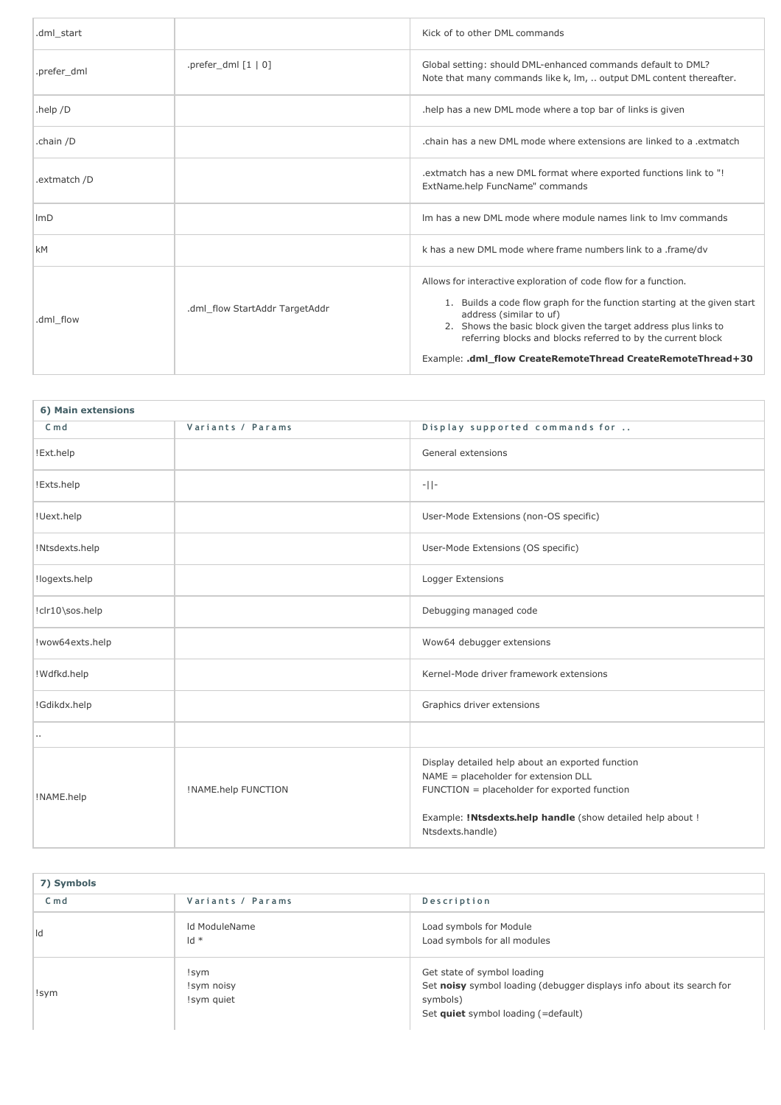| .dml start   |                                | Kick of to other DML commands                                                                                                                                                                                                                                                                                                                                            |
|--------------|--------------------------------|--------------------------------------------------------------------------------------------------------------------------------------------------------------------------------------------------------------------------------------------------------------------------------------------------------------------------------------------------------------------------|
| .prefer dml  | .prefer dml $[1 \mid 0]$       | Global setting: should DML-enhanced commands default to DML?<br>Note that many commands like k, lm,  output DML content thereafter.                                                                                                                                                                                                                                      |
| .help $/D$   |                                | help has a new DML mode where a top bar of links is given.                                                                                                                                                                                                                                                                                                               |
| .chain /D    |                                | chain has a new DML mode where extensions are linked to a .extmatch                                                                                                                                                                                                                                                                                                      |
| .extmatch /D |                                | .extmatch has a new DML format where exported functions link to "!<br>ExtName.help FuncName" commands                                                                                                                                                                                                                                                                    |
| ImD          |                                | Im has a new DML mode where module names link to Imy commands                                                                                                                                                                                                                                                                                                            |
| <b>kM</b>    |                                | k has a new DML mode where frame numbers link to a .frame/dv                                                                                                                                                                                                                                                                                                             |
| .dml flow    | .dml flow StartAddr TargetAddr | Allows for interactive exploration of code flow for a function.<br>1. Builds a code flow graph for the function starting at the given start<br>address (similar to uf)<br>2. Shows the basic block given the target address plus links to<br>referring blocks and blocks referred to by the current block<br>Example: .dml_flow CreateRemoteThread CreateRemoteThread+30 |

| 6) Main extensions |                            |                                                                                                                                                                                                                            |
|--------------------|----------------------------|----------------------------------------------------------------------------------------------------------------------------------------------------------------------------------------------------------------------------|
| $C \text{ m} d$    | Variants / Params          | Display supported commands for                                                                                                                                                                                             |
| !Ext.help          |                            | General extensions                                                                                                                                                                                                         |
| !Exts.help         |                            | $-  $ -                                                                                                                                                                                                                    |
| !Uext.help         |                            | User-Mode Extensions (non-OS specific)                                                                                                                                                                                     |
| !Ntsdexts.help     |                            | User-Mode Extensions (OS specific)                                                                                                                                                                                         |
| !logexts.help      |                            | Logger Extensions                                                                                                                                                                                                          |
| !clr10\sos.help    |                            | Debugging managed code                                                                                                                                                                                                     |
| !wow64exts.help    |                            | Wow64 debugger extensions                                                                                                                                                                                                  |
| ! Wdfkd.help       |                            | Kernel-Mode driver framework extensions                                                                                                                                                                                    |
| !Gdikdx.help       |                            | Graphics driver extensions                                                                                                                                                                                                 |
|                    |                            |                                                                                                                                                                                                                            |
| !NAME.help         | <b>!NAME.help FUNCTION</b> | Display detailed help about an exported function<br>NAME = placeholder for extension DLL<br>FUNCTION = placeholder for exported function<br>Example: !Ntsdexts.help handle (show detailed help about !<br>Ntsdexts.handle) |

| 7) Symbols     |                                  |                                                                                                                                                         |
|----------------|----------------------------------|---------------------------------------------------------------------------------------------------------------------------------------------------------|
| C <sub>m</sub> | Variants / Params                | Description                                                                                                                                             |
| Id             | Id ModuleName<br>$Id *$          | Load symbols for Module<br>Load symbols for all modules                                                                                                 |
| !sym           | !sym<br>!sym noisy<br>!sym quiet | Get state of symbol loading<br>Set noisy symbol loading (debugger displays info about its search for<br>symbols)<br>Set quiet symbol loading (=default) |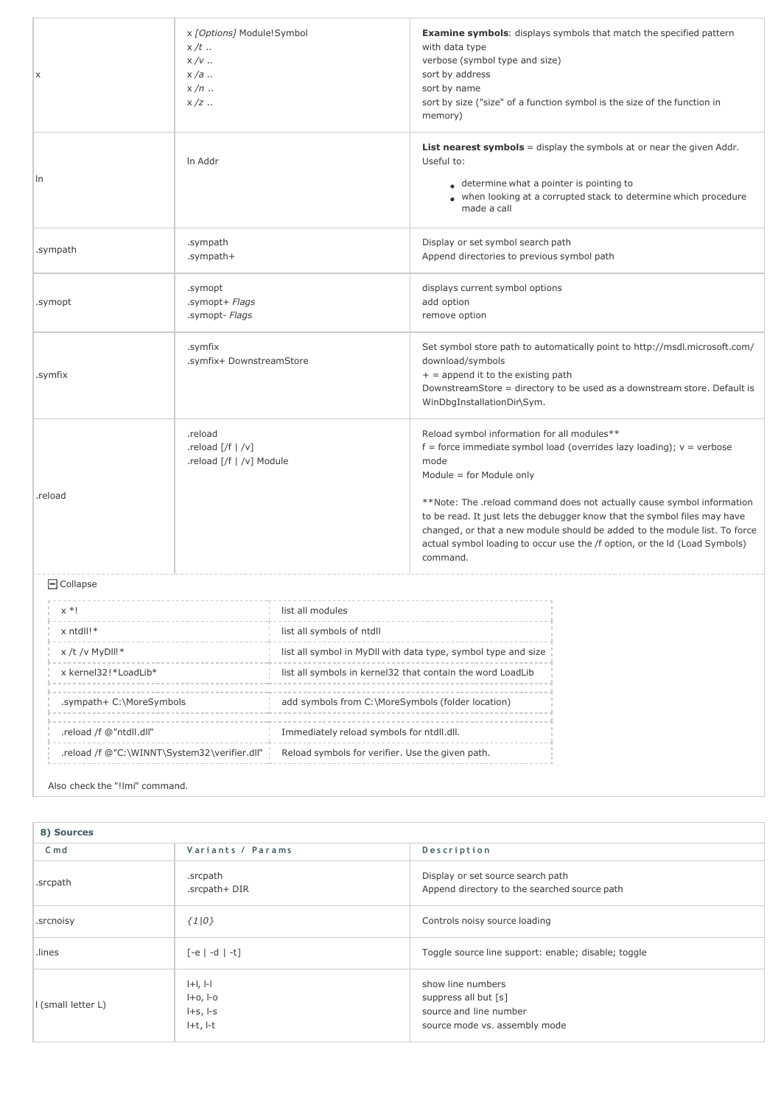| X                                            | x [Options] Module!Symbol<br>$x/t$<br>$x/v$<br>$x/a$<br>$x/n$<br>$x/z$ |                                                            | <b>Examine symbols:</b> displays symbols that match the specified pattern<br>with data type<br>verbose (symbol type and size)<br>sort by address<br>sort by name<br>sort by size ("size" of a function symbol is the size of the function in<br>memory)                                                                                                                                                                                                                         |
|----------------------------------------------|------------------------------------------------------------------------|------------------------------------------------------------|---------------------------------------------------------------------------------------------------------------------------------------------------------------------------------------------------------------------------------------------------------------------------------------------------------------------------------------------------------------------------------------------------------------------------------------------------------------------------------|
| In                                           | In Addr                                                                |                                                            | <b>List nearest symbols</b> = display the symbols at or near the given Addr.<br>Useful to:<br>● determine what a pointer is pointing to<br>when looking at a corrupted stack to determine which procedure<br>made a call                                                                                                                                                                                                                                                        |
| .sympath                                     | .sympath<br>.sympath+                                                  |                                                            | Display or set symbol search path<br>Append directories to previous symbol path                                                                                                                                                                                                                                                                                                                                                                                                 |
| .symopt                                      | .symopt<br>.symopt+ Flags<br>.symopt- Flags                            |                                                            | displays current symbol options<br>add option<br>remove option                                                                                                                                                                                                                                                                                                                                                                                                                  |
| .symfix                                      | .symfix<br>.symfix+ DownstreamStore                                    |                                                            | Set symbol store path to automatically point to http://msdl.microsoft.com/<br>download/symbols<br>$+$ = append it to the existing path<br>DownstreamStore = directory to be used as a downstream store. Default is<br>WinDbgInstallationDir\Sym.                                                                                                                                                                                                                                |
| .reload                                      | .reload<br>.reload $[ /f   /v ]$<br>reload [/f   /v] Module            |                                                            | Reload symbol information for all modules**<br>$f =$ force immediate symbol load (overrides lazy loading); $v =$ verbose<br>mode<br>Module = for Module only<br>**Note: The .reload command does not actually cause symbol information<br>to be read. It just lets the debugger know that the symbol files may have<br>changed, or that a new module should be added to the module list. To force<br>actual symbol loading to occur use the /f option, or the ld (Load Symbols) |
|                                              |                                                                        |                                                            | command.                                                                                                                                                                                                                                                                                                                                                                                                                                                                        |
| $\Box$ Collapse                              |                                                                        |                                                            |                                                                                                                                                                                                                                                                                                                                                                                                                                                                                 |
| list all modules<br>$x * i$                  |                                                                        |                                                            |                                                                                                                                                                                                                                                                                                                                                                                                                                                                                 |
| x ntdll!*<br>list all symbols of ntdll       |                                                                        |                                                            |                                                                                                                                                                                                                                                                                                                                                                                                                                                                                 |
| $x/t$ /v MyDII!*                             |                                                                        |                                                            | list all symbol in MyDll with data type, symbol type and size                                                                                                                                                                                                                                                                                                                                                                                                                   |
| x kernel32!*LoadLib*                         |                                                                        | list all symbols in kernel32 that contain the word LoadLib |                                                                                                                                                                                                                                                                                                                                                                                                                                                                                 |
| .sympath+ C:\MoreSymbols                     |                                                                        | add symbols from C:\MoreSymbols (folder location)          |                                                                                                                                                                                                                                                                                                                                                                                                                                                                                 |
| .reload /f @"ntdll.dll"                      |                                                                        | Immediately reload symbols for ntdll.dll.                  |                                                                                                                                                                                                                                                                                                                                                                                                                                                                                 |
| .reload /f @"C:\WINNT\System32\verifier.dll" |                                                                        | Reload symbols for verifier. Use the given path.           |                                                                                                                                                                                                                                                                                                                                                                                                                                                                                 |

Also check the "!lmi" command.

| 8) Sources         |                                                                                 |                                                                                                      |
|--------------------|---------------------------------------------------------------------------------|------------------------------------------------------------------------------------------------------|
| $C \text{md}$      | Variants / Params                                                               | Description                                                                                          |
| .srcpath           | .srcpath<br>.srcpath+DIR                                                        | Display or set source search path<br>Append directory to the searched source path                    |
| .srcnoisy          | $\{1 0\}$                                                                       | Controls noisy source loading                                                                        |
| lines.             | $[-e]$ -d $ -t]$                                                                | Toggle source line support: enable; disable; toggle                                                  |
| I (small letter L) | $ + $ , $ - $<br>$H$ -0, $H$ -0<br>$I + S$ , $I - S$<br>$H$ <sub>+t</sub> , $H$ | show line numbers<br>suppress all but [s]<br>source and line number<br>source mode vs. assembly mode |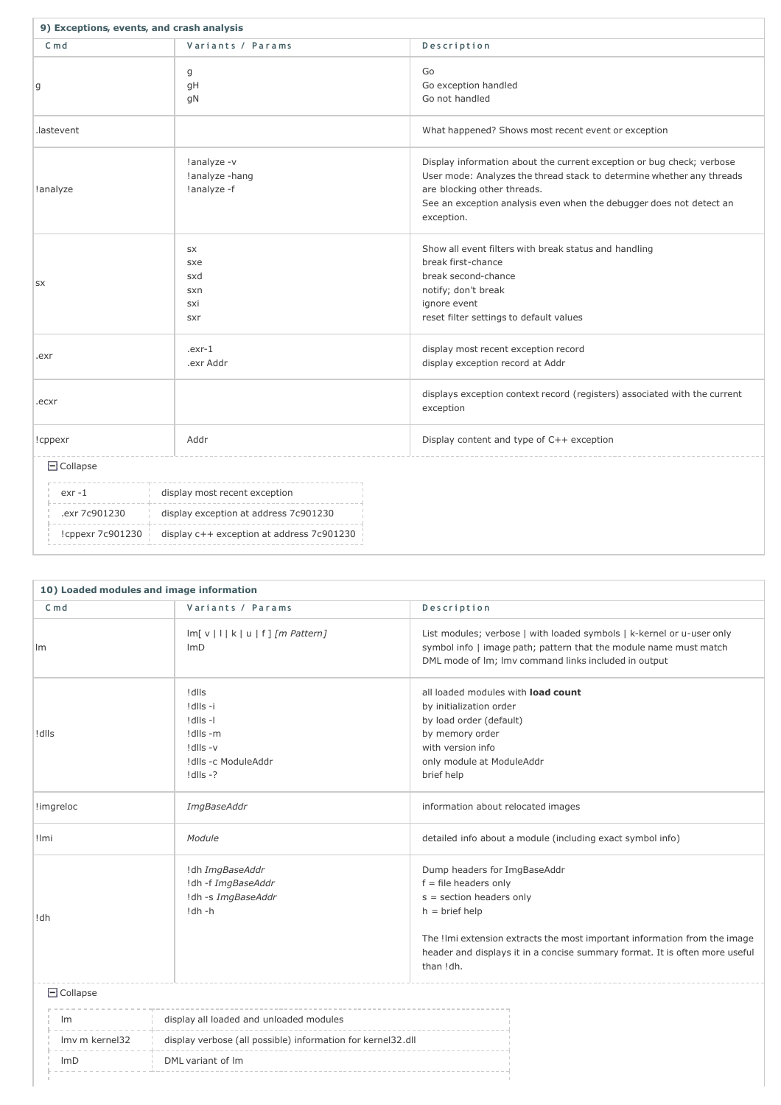| 9) Exceptions, events, and crash analysis                        |                                              |                                                                                                                                                                                                                                                                    |  |
|------------------------------------------------------------------|----------------------------------------------|--------------------------------------------------------------------------------------------------------------------------------------------------------------------------------------------------------------------------------------------------------------------|--|
| $Cm$ d                                                           | Variants / Params                            | Description                                                                                                                                                                                                                                                        |  |
| g                                                                | g<br>gH<br>gN                                | Go<br>Go exception handled<br>Go not handled                                                                                                                                                                                                                       |  |
| .lastevent                                                       |                                              | What happened? Shows most recent event or exception                                                                                                                                                                                                                |  |
| !analyze                                                         | !analyze -v<br>!analyze -hang<br>!analyze -f | Display information about the current exception or bug check; verbose<br>User mode: Analyzes the thread stack to determine whether any threads<br>are blocking other threads.<br>See an exception analysis even when the debugger does not detect an<br>exception. |  |
| <b>SX</b>                                                        | SX<br>sxe<br>sxd<br>sxn<br>sxi<br>sxr        | Show all event filters with break status and handling<br>break first-chance<br>break second-chance<br>notify; don't break<br>ignore event<br>reset filter settings to default values                                                                               |  |
| $exr-1$<br>.exr<br>.exr Addr                                     |                                              | display most recent exception record<br>display exception record at Addr                                                                                                                                                                                           |  |
| .ecxr                                                            |                                              | displays exception context record (registers) associated with the current<br>exception                                                                                                                                                                             |  |
| Addr<br>!cppexr                                                  |                                              | Display content and type of C++ exception                                                                                                                                                                                                                          |  |
| $\Box$ Collapse                                                  |                                              |                                                                                                                                                                                                                                                                    |  |
| display most recent exception<br>exr -1                          |                                              |                                                                                                                                                                                                                                                                    |  |
| .exr 7c901230<br>display exception at address 7c901230           |                                              |                                                                                                                                                                                                                                                                    |  |
| display c++ exception at address 7c901230<br>! cppexr $7c901230$ |                                              |                                                                                                                                                                                                                                                                    |  |

| 10) Loaded modules and image information |                 |                                                                                               |                                                                                                                                                                                                                                                                                    |
|------------------------------------------|-----------------|-----------------------------------------------------------------------------------------------|------------------------------------------------------------------------------------------------------------------------------------------------------------------------------------------------------------------------------------------------------------------------------------|
|                                          | $C \text{ m} d$ | Variants / Params                                                                             | Description                                                                                                                                                                                                                                                                        |
| Im                                       |                 | $Im[v   k u f]$ /m Pattern]<br>ImD                                                            | List modules; verbose   with loaded symbols   k-kernel or u-user only<br>symbol info   image path; pattern that the module name must match<br>DML mode of Im; Imv command links included in output                                                                                 |
| ! dlls                                   |                 | ! dlls<br>!dlls -i<br>!dlls-l<br>!dlls -m<br>!dlls -v<br>!dlls -c ModuleAddr<br>$!$ dlls $-?$ | all loaded modules with load count<br>by initialization order<br>by load order (default)<br>by memory order<br>with version info<br>only module at ModuleAddr<br>brief help                                                                                                        |
|                                          | !imgreloc       | ImgBaseAddr                                                                                   | information about relocated images                                                                                                                                                                                                                                                 |
| ! Imi                                    |                 | Module                                                                                        | detailed info about a module (including exact symbol info)                                                                                                                                                                                                                         |
| !dh                                      |                 | !dh ImgBaseAddr<br>!dh -f ImgBaseAddr<br>!dh -s ImgBaseAddr<br>!dh -h                         | Dump headers for ImgBaseAddr<br>$f = file$ headers only<br>$s =$ section headers only<br>$h = brief help$<br>The !lmi extension extracts the most important information from the image<br>header and displays it in a concise summary format. It is often more useful<br>than !dh. |
|                                          | $\Box$ Collapse |                                                                                               |                                                                                                                                                                                                                                                                                    |
| Im                                       |                 | display all loaded and unloaded modules                                                       |                                                                                                                                                                                                                                                                                    |
|                                          | Imv m kernel32  | display verbose (all possible) information for kernel32.dll                                   |                                                                                                                                                                                                                                                                                    |
|                                          | ImD             | DML variant of Im                                                                             |                                                                                                                                                                                                                                                                                    |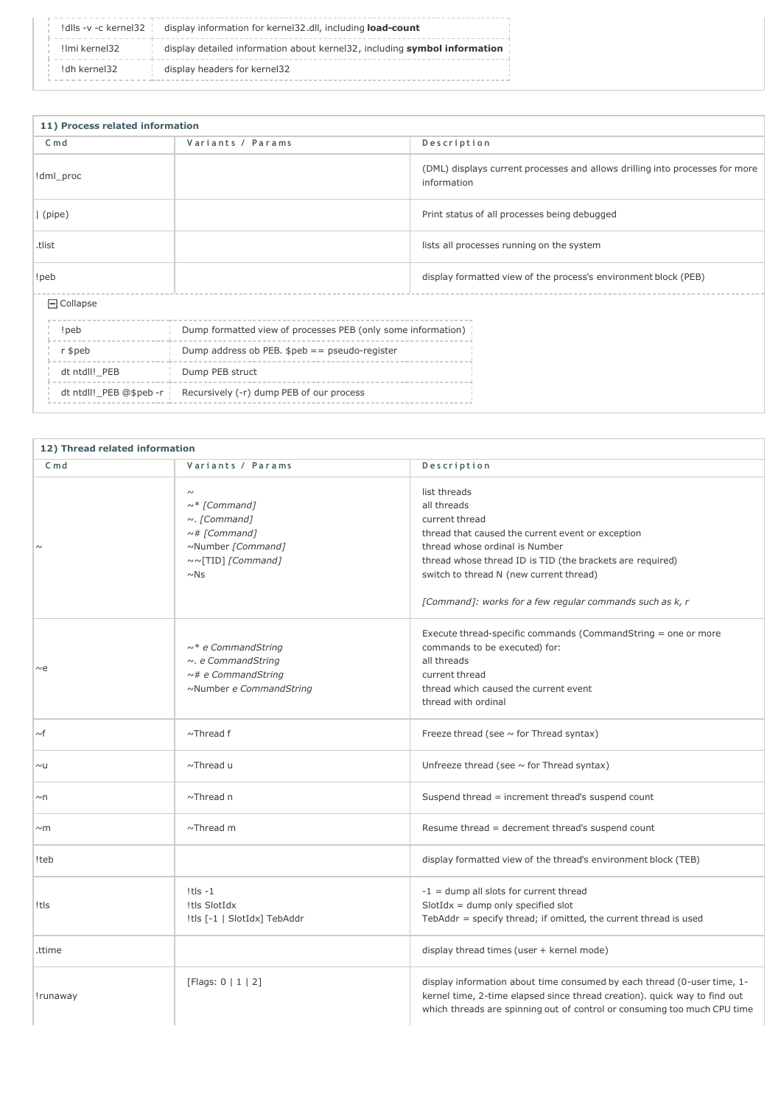|               | Idlls -v -c kernel32 $\parallel$ display information for kernel32.dll, including <b>load-count</b> |
|---------------|----------------------------------------------------------------------------------------------------|
| Ilmi kernel32 | display detailed information about kernel32, including symbol information                          |
| !dh kernel32  | display headers for kernel32                                                                       |

| 11) Process related information |                                                                    |                                                                                             |  |
|---------------------------------|--------------------------------------------------------------------|---------------------------------------------------------------------------------------------|--|
| $C \text{ m} d$                 | Variants / Params                                                  | Description                                                                                 |  |
| !dml_proc                       |                                                                    | (DML) displays current processes and allows drilling into processes for more<br>information |  |
| (pipe)                          |                                                                    | Print status of all processes being debugged                                                |  |
| .tlist                          |                                                                    | lists all processes running on the system                                                   |  |
| !peb                            |                                                                    | display formatted view of the process's environment block (PEB)                             |  |
| $\Box$ Collapse                 |                                                                    |                                                                                             |  |
| !peb                            | Dump formatted view of processes PEB (only some information)       |                                                                                             |  |
| r \$peb                         | Dump address ob PEB. $speb == pseudo-register$                     |                                                                                             |  |
| dt ntdll!_PEB                   | Dump PEB struct                                                    |                                                                                             |  |
|                                 | dt ntdll! PEB @\$peb -r   Recursively (-r) dump PEB of our process |                                                                                             |  |

| 12) Thread related information |                                                                                                                                 |                                                                                                                                                                                                                                                                                                          |
|--------------------------------|---------------------------------------------------------------------------------------------------------------------------------|----------------------------------------------------------------------------------------------------------------------------------------------------------------------------------------------------------------------------------------------------------------------------------------------------------|
| $C \text{ m} d$                | Variants / Params                                                                                                               | Description                                                                                                                                                                                                                                                                                              |
|                                | $\sim$<br>$\sim$ * [Command]<br>$\sim$ . [Command]<br>$\sim$ # [Command]<br>~Number [Command]<br>~~[TID] [Command]<br>$\sim$ Ns | list threads<br>all threads<br>current thread<br>thread that caused the current event or exception<br>thread whose ordinal is Number<br>thread whose thread ID is TID (the brackets are required)<br>switch to thread N (new current thread)<br>[Command]: works for a few regular commands such as k, r |
| $\sim$ e                       | $\sim^*$ e CommandString<br>$\sim$ . e CommandString<br>$\sim$ # e CommandString<br>~Number e CommandString                     | Execute thread-specific commands (CommandString = one or more<br>commands to be executed) for:<br>all threads<br>current thread<br>thread which caused the current event<br>thread with ordinal                                                                                                          |
| $\sim$ f                       | $\sim$ Thread f                                                                                                                 | Freeze thread (see $\sim$ for Thread syntax)                                                                                                                                                                                                                                                             |
| $\sim \mathsf{U}$              | $\sim$ Thread u                                                                                                                 | Unfreeze thread (see $\sim$ for Thread syntax)                                                                                                                                                                                                                                                           |
| $\sim$ n                       | $\sim$ Thread n                                                                                                                 | Suspend thread = increment thread's suspend count                                                                                                                                                                                                                                                        |
| $~\sim$ m                      | $\sim$ Thread m                                                                                                                 | Resume thread = decrement thread's suspend count                                                                                                                                                                                                                                                         |
| !teb                           |                                                                                                                                 | display formatted view of the thread's environment block (TEB)                                                                                                                                                                                                                                           |
| !tls                           | $!t$ ls -1<br>!tls SlotIdx<br>!tls [-1   SlotIdx] TebAddr                                                                       | $-1$ = dump all slots for current thread<br>$SlotIdx = dump only specified slot$<br>TebAddr = specify thread; if omitted, the current thread is used                                                                                                                                                     |
| .ttime                         |                                                                                                                                 | display thread times (user + kernel mode)                                                                                                                                                                                                                                                                |
| !runaway                       | [Flags: $0   1   2]$                                                                                                            | display information about time consumed by each thread (0-user time, 1-<br>kernel time, 2-time elapsed since thread creation). quick way to find out<br>which threads are spinning out of control or consuming too much CPU time                                                                         |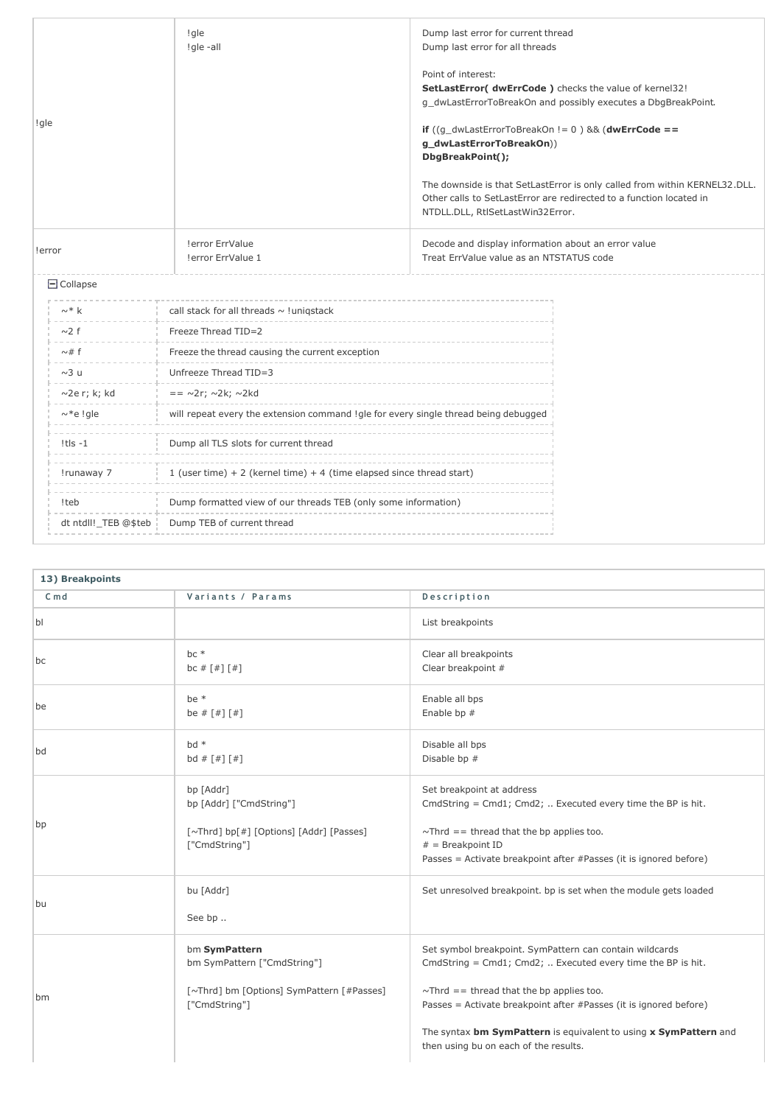| !gle                                             |                      | ! gle<br>!gle-all                                                                   | Dump last error for current thread<br>Dump last error for all threads<br>Point of interest:<br>SetLastError( dwErrCode ) checks the value of kernel32!<br>g_dwLastErrorToBreakOn and possibly executes a DbgBreakPoint.<br>if $((q_dwLastErrorToBreakOn != 0) & 0)$ (dwErrCode ==<br>g_dwLastErrorToBreakOn))<br>DbgBreakPoint();<br>The downside is that SetLastError is only called from within KERNEL32.DLL.<br>Other calls to SetLastError are redirected to a function located in<br>NTDLL.DLL, RtlSetLastWin32Error. |  |
|--------------------------------------------------|----------------------|-------------------------------------------------------------------------------------|----------------------------------------------------------------------------------------------------------------------------------------------------------------------------------------------------------------------------------------------------------------------------------------------------------------------------------------------------------------------------------------------------------------------------------------------------------------------------------------------------------------------------|--|
| ! error ErrValue<br>!error<br>! error ErrValue 1 |                      |                                                                                     | Decode and display information about an error value<br>Treat ErrValue value as an NTSTATUS code                                                                                                                                                                                                                                                                                                                                                                                                                            |  |
|                                                  | $\Box$ Collapse      |                                                                                     |                                                                                                                                                                                                                                                                                                                                                                                                                                                                                                                            |  |
|                                                  | $\sim^*$ k           | call stack for all threads $\sim$ ! unigstack                                       |                                                                                                                                                                                                                                                                                                                                                                                                                                                                                                                            |  |
|                                                  | $\sim$ 2 f           | Freeze Thread TID=2                                                                 |                                                                                                                                                                                                                                                                                                                                                                                                                                                                                                                            |  |
|                                                  | $\sim$ #f            | Freeze the thread causing the current exception                                     |                                                                                                                                                                                                                                                                                                                                                                                                                                                                                                                            |  |
|                                                  | $~\sim$ 3 u          | Unfreeze Thread TID=3                                                               |                                                                                                                                                                                                                                                                                                                                                                                                                                                                                                                            |  |
|                                                  | $\sim$ 2e r; k; kd   | $== \sim 2r$ ; $\sim 2k$ ; $\sim 2kd$                                               |                                                                                                                                                                                                                                                                                                                                                                                                                                                                                                                            |  |
|                                                  | $\sim$ *e !gle       | will repeat every the extension command !gle for every single thread being debugged |                                                                                                                                                                                                                                                                                                                                                                                                                                                                                                                            |  |
|                                                  | $!t s - 1$           | Dump all TLS slots for current thread                                               |                                                                                                                                                                                                                                                                                                                                                                                                                                                                                                                            |  |
|                                                  | !runaway 7           | 1 (user time) + 2 (kernel time) + 4 (time elapsed since thread start)               |                                                                                                                                                                                                                                                                                                                                                                                                                                                                                                                            |  |
|                                                  | !teb                 | Dump formatted view of our threads TEB (only some information)                      |                                                                                                                                                                                                                                                                                                                                                                                                                                                                                                                            |  |
|                                                  | dt ntdll!_TEB @\$teb | Dump TEB of current thread                                                          |                                                                                                                                                                                                                                                                                                                                                                                                                                                                                                                            |  |
|                                                  |                      |                                                                                     |                                                                                                                                                                                                                                                                                                                                                                                                                                                                                                                            |  |

| 13) Breakpoints |                                                                                                            |                                                                                                                                                                                                                                                                                                                                                            |
|-----------------|------------------------------------------------------------------------------------------------------------|------------------------------------------------------------------------------------------------------------------------------------------------------------------------------------------------------------------------------------------------------------------------------------------------------------------------------------------------------------|
| $C \text{ m} d$ | Variants / Params                                                                                          | Description                                                                                                                                                                                                                                                                                                                                                |
| b               |                                                                                                            | List breakpoints                                                                                                                                                                                                                                                                                                                                           |
| bc              | $bc *$<br>bc # $[$ # $]$ $[$ # $]$                                                                         | Clear all breakpoints<br>Clear breakpoint #                                                                                                                                                                                                                                                                                                                |
| be              | be *<br>be # $[$ # $]$ $[$ # $]$                                                                           | Enable all bps<br>Enable bp #                                                                                                                                                                                                                                                                                                                              |
| bd              | $bd *$<br>bd # $[$ # $]$ $[$ # $]$                                                                         | Disable all bps<br>Disable bp #                                                                                                                                                                                                                                                                                                                            |
| bp              | bp [Addr]<br>bp [Addr] ["CmdString"]<br>[~Thrd] bp[#] [Options] [Addr] [Passes]<br>["CmdString"]           | Set breakpoint at address<br>CmdString = Cmd1; Cmd2;  Executed every time the BP is hit.<br>$\sim$ Thrd == thread that the bp applies too.<br>$#$ = Breakpoint ID<br>Passes = Activate breakpoint after #Passes (it is ignored before)                                                                                                                     |
| bu              | bu [Addr]<br>See bp                                                                                        | Set unresolved breakpoint. bp is set when the module gets loaded                                                                                                                                                                                                                                                                                           |
| bm              | bm SymPattern<br>bm SymPattern ["CmdString"]<br>[~Thrd] bm [Options] SymPattern [#Passes]<br>["CmdString"] | Set symbol breakpoint. SymPattern can contain wildcards<br>CmdString = Cmd1; Cmd2;  Executed every time the BP is hit.<br>$\sim$ Thrd == thread that the bp applies too.<br>Passes = Activate breakpoint after #Passes (it is ignored before)<br>The syntax bm SymPattern is equivalent to using x SymPattern and<br>then using bu on each of the results. |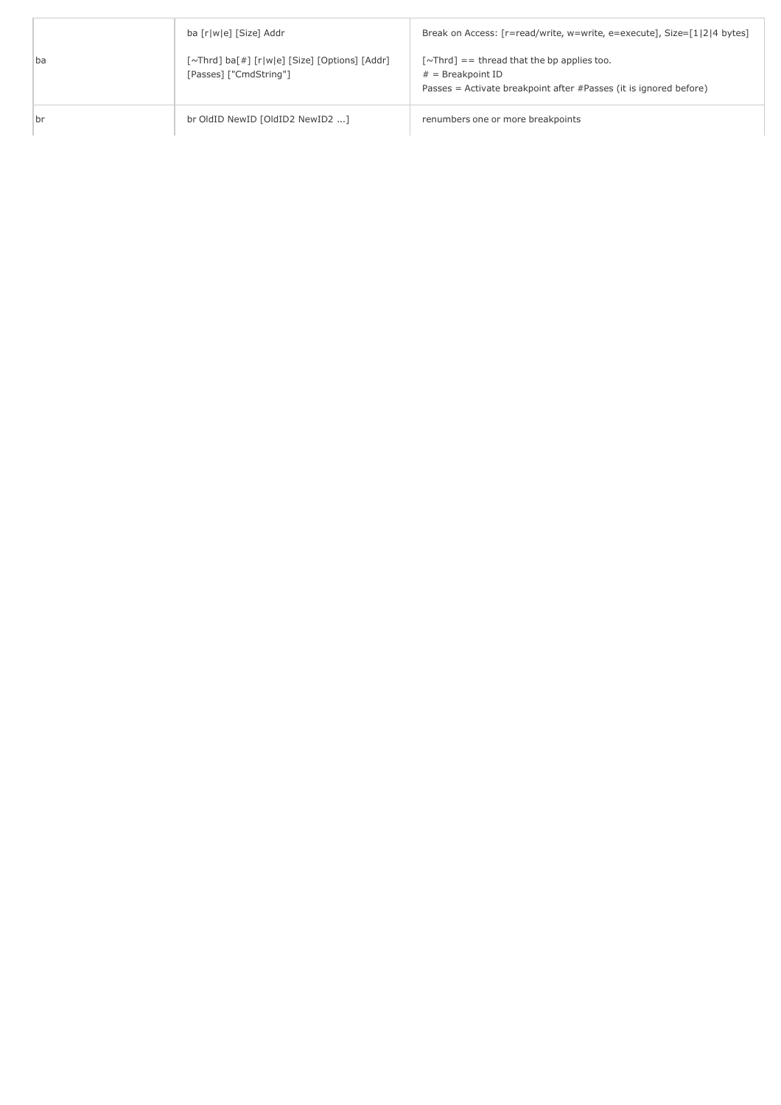|    | ba [r w e] [Size] Addr                                                  | Break on Access: [r=read/write, w=write, e=execute], Size=[1 2 4 bytes]                                                                                        |
|----|-------------------------------------------------------------------------|----------------------------------------------------------------------------------------------------------------------------------------------------------------|
| ba | [~Thrd] ba[#] [r w e] [Size] [Options] [Addr]<br>[Passes] ["CmdString"] | $\lceil \sim \text{Thrd} \rceil$ = thread that the bp applies too.<br>$#$ = Breakpoint ID<br>Passes = Activate breakpoint after #Passes (it is ignored before) |
| br | br OldID NewID [OldID2 NewID2 ]                                         | renumbers one or more breakpoints                                                                                                                              |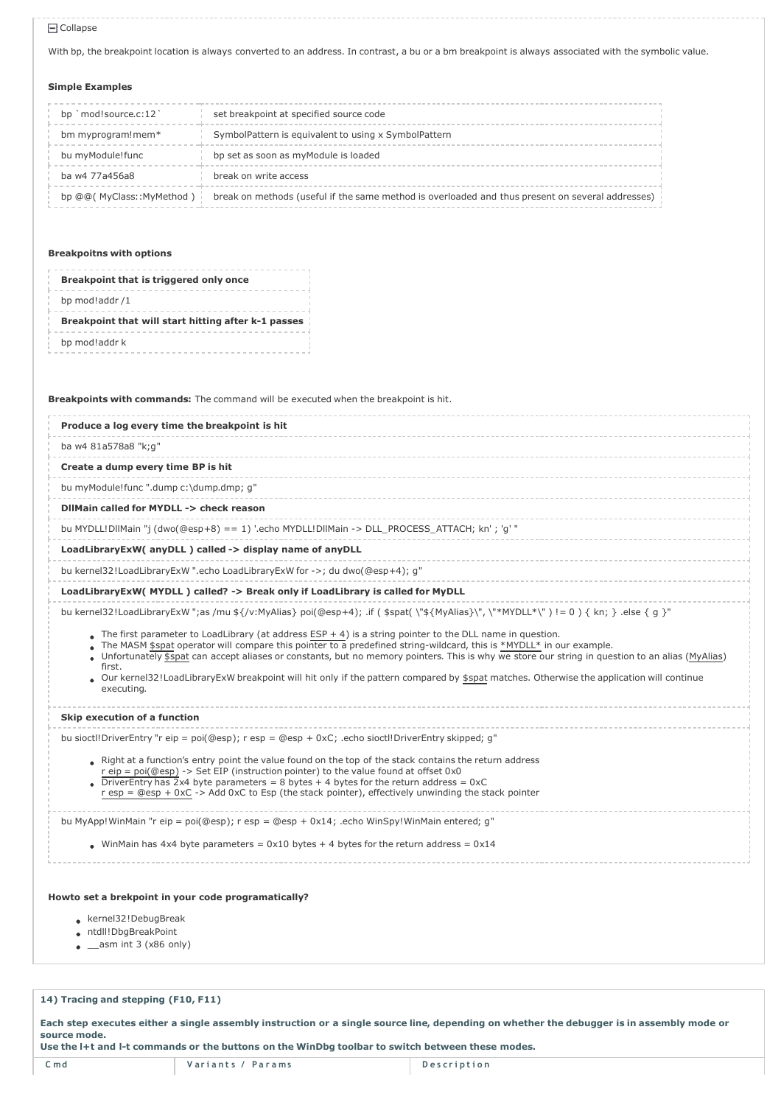#### Collapse

With bp, the breakpoint location is always converted to an address. In contrast, a bu or a bm breakpoint is always associated with the symbolic value.

### Simple Examples

| bp `mod!source.c:12`       | set breakpoint at specified source code                                                          |
|----------------------------|--------------------------------------------------------------------------------------------------|
| bm myprogram! mem*         | SymbolPattern is equivalent to using x SymbolPattern                                             |
| bu myModule!func           | bp set as soon as myModule is loaded                                                             |
| ba w4 77a456a8             | break on write access                                                                            |
| bp @@( MyClass::MyMethod ) | break on methods (useful if the same method is overloaded and thus present on several addresses) |

### Breakpoitns with options

|                | Breakpoint that is triggered only once              |
|----------------|-----------------------------------------------------|
| bp mod!addr /1 |                                                     |
|                | Breakpoint that will start hitting after k-1 passes |
| bp mod!addr k  |                                                     |

Breakpoints with commands: The command will be executed when the breakpoint is hit.

| Produce a log every time the breakpoint is hit            |                                                                                                                                                                                                                                                                                                                                                                                                                                                                                                                                                                                                                                                                             |
|-----------------------------------------------------------|-----------------------------------------------------------------------------------------------------------------------------------------------------------------------------------------------------------------------------------------------------------------------------------------------------------------------------------------------------------------------------------------------------------------------------------------------------------------------------------------------------------------------------------------------------------------------------------------------------------------------------------------------------------------------------|
| ba w4 81a578a8 "k;g"                                      |                                                                                                                                                                                                                                                                                                                                                                                                                                                                                                                                                                                                                                                                             |
| Create a dump every time BP is hit                        |                                                                                                                                                                                                                                                                                                                                                                                                                                                                                                                                                                                                                                                                             |
| bu myModule!func ".dump c:\dump.dmp; g"                   |                                                                                                                                                                                                                                                                                                                                                                                                                                                                                                                                                                                                                                                                             |
| DilMain called for MYDLL -> check reason                  |                                                                                                                                                                                                                                                                                                                                                                                                                                                                                                                                                                                                                                                                             |
|                                                           | bu MYDLL!DllMain "j (dwo(@esp+8) == 1) '.echo MYDLL!DllMain -> DLL_PROCESS_ATTACH; kn'; 'g' "                                                                                                                                                                                                                                                                                                                                                                                                                                                                                                                                                                               |
| LoadLibraryExW( anyDLL ) called -> display name of anyDLL |                                                                                                                                                                                                                                                                                                                                                                                                                                                                                                                                                                                                                                                                             |
|                                                           | bu kernel32!LoadLibraryExW ".echo LoadLibraryExW for ->; du dwo(@esp+4); g"                                                                                                                                                                                                                                                                                                                                                                                                                                                                                                                                                                                                 |
|                                                           | LoadLibraryExW(MYDLL) called? -> Break only if LoadLibrary is called for MyDLL                                                                                                                                                                                                                                                                                                                                                                                                                                                                                                                                                                                              |
| first.<br>executing.                                      | bu kernel32!LoadLibraryExW ";as /mu \${/v:MyAlias} poi(@esp+4); .if ( \$spat( \"\${MyAlias}\", \"*MYDLL*\") != 0 ) { kn; } .else { q }"<br>The first parameter to LoadLibrary (at address $ESP + 4$ ) is a string pointer to the DLL name in question.<br>The MASM \$spat operator will compare this pointer to a predefined string-wildcard, this is *MYDLL* in our example.<br>Unfortunately \$spat can accept aliases or constants, but no memory pointers. This is why we store our string in question to an alias (MyAlias)<br>Our kernel32!LoadLibraryExW breakpoint will hit only if the pattern compared by \$spat matches. Otherwise the application will continue |
| Skip execution of a function                              |                                                                                                                                                                                                                                                                                                                                                                                                                                                                                                                                                                                                                                                                             |
|                                                           | bu sioct!! DriverEntry "r eip = poi(@esp); r esp = @esp + 0xC; .echo sioct!! DriverEntry skipped; q"<br>Right at a function's entry point the value found on the top of the stack contains the return address<br>r eip = poi(@esp) -> Set EIP (instruction pointer) to the value found at offset 0x0<br>• DriverEntry has $2x4$ byte parameters = 8 bytes + 4 bytes for the return address = $0xC$<br>r esp = @esp + 0xC -> Add 0xC to Esp (the stack pointer), effectively unwinding the stack pointer                                                                                                                                                                     |
|                                                           | bu MyApp! WinMain "r eip = poi(@esp); r esp = @esp + $0x14$ ; echo WinSpy! WinMain entered; q"<br>• WinMain has 4x4 byte parameters = $0x10$ bytes + 4 bytes for the return address = $0x14$                                                                                                                                                                                                                                                                                                                                                                                                                                                                                |

## Howto set a brekpoint in your code programatically?

- kernel32!DebugBreak
- ntdll!DbgBreakPoint
- $\bullet$  \_\_asm int 3 (x86 only)

## 14) Tracing and stepping (F10, F11)

Each step executes either a single assembly instruction or a single source line, depending on whether the debugger is in assembly mode or source mode.

Use the l+t and l-t commands or the buttons on the WinDbg toolbar to switch between these modes.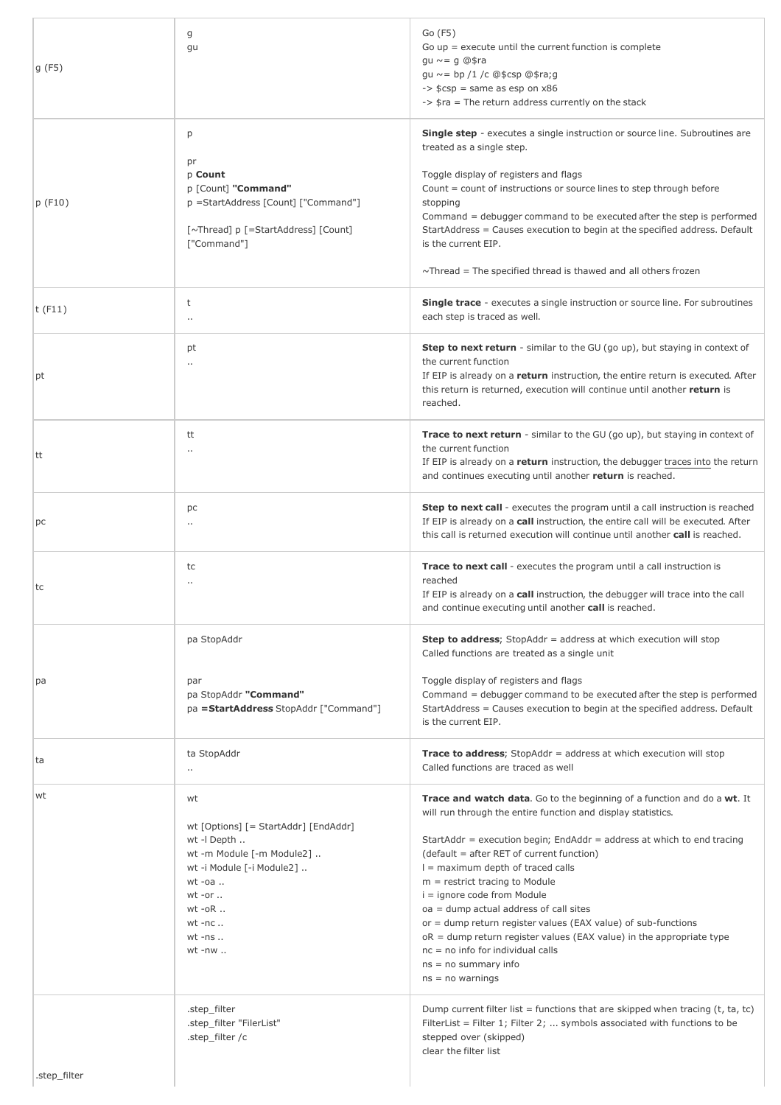| g(F5)        | g<br>gu                                                                                                                                                                                                          | Go (F5)<br>Go $up =$ execute until the current function is complete<br>gu $\sim$ = g @\$ra<br>gu $\sim$ = bp /1 /c @\$csp @\$ra;g<br>$\Rightarrow$ \$csp = same as esp on $x86$<br>-> \$ra = The return address currently on the stack                                                                                                                                                                                                                                                                                                                                                                                                                 |
|--------------|------------------------------------------------------------------------------------------------------------------------------------------------------------------------------------------------------------------|--------------------------------------------------------------------------------------------------------------------------------------------------------------------------------------------------------------------------------------------------------------------------------------------------------------------------------------------------------------------------------------------------------------------------------------------------------------------------------------------------------------------------------------------------------------------------------------------------------------------------------------------------------|
| p(F10)       | р<br>pr<br>p Count<br>p [Count] "Command"<br>p =StartAddress [Count] ["Command"]<br>[~Thread] p [=StartAddress] [Count]<br>["Command"]                                                                           | <b>Single step</b> - executes a single instruction or source line. Subroutines are<br>treated as a single step.<br>Toggle display of registers and flags<br>Count = count of instructions or source lines to step through before<br>stopping<br>Command = debugger command to be executed after the step is performed<br>StartAddress = Causes execution to begin at the specified address. Default<br>is the current EIP.<br>$\sim$ Thread = The specified thread is thawed and all others frozen                                                                                                                                                     |
| t $(F11)$    | t<br>$\ddot{\phantom{a}}$                                                                                                                                                                                        | <b>Single trace</b> - executes a single instruction or source line. For subroutines<br>each step is traced as well.                                                                                                                                                                                                                                                                                                                                                                                                                                                                                                                                    |
| pt           | pt<br>$\cdot$ .                                                                                                                                                                                                  | <b>Step to next return</b> - similar to the GU (go up), but staying in context of<br>the current function<br>If EIP is already on a return instruction, the entire return is executed. After<br>this return is returned, execution will continue until another return is<br>reached.                                                                                                                                                                                                                                                                                                                                                                   |
| tt           | tt<br>$\cdot$ .                                                                                                                                                                                                  | <b>Trace to next return</b> - similar to the GU (go up), but staying in context of<br>the current function<br>If EIP is already on a return instruction, the debugger traces into the return<br>and continues executing until another return is reached.                                                                                                                                                                                                                                                                                                                                                                                               |
| pc           | рc<br>$\ddot{\phantom{a}}$                                                                                                                                                                                       | Step to next call - executes the program until a call instruction is reached<br>If EIP is already on a call instruction, the entire call will be executed. After<br>this call is returned execution will continue until another call is reached.                                                                                                                                                                                                                                                                                                                                                                                                       |
| tc           | tc<br>$\ddot{\phantom{a}}$                                                                                                                                                                                       | Trace to next call - executes the program until a call instruction is<br>reached<br>If EIP is already on a call instruction, the debugger will trace into the call<br>and continue executing until another call is reached.                                                                                                                                                                                                                                                                                                                                                                                                                            |
|              | pa StopAddr                                                                                                                                                                                                      | <b>Step to address</b> ; StopAddr = address at which execution will stop<br>Called functions are treated as a single unit                                                                                                                                                                                                                                                                                                                                                                                                                                                                                                                              |
| рa           | par<br>pa StopAddr "Command"<br>pa = StartAddress StopAddr ["Command"]                                                                                                                                           | Toggle display of registers and flags<br>Command = debugger command to be executed after the step is performed<br>StartAddress = Causes execution to begin at the specified address. Default<br>is the current EIP.                                                                                                                                                                                                                                                                                                                                                                                                                                    |
| ta           | ta StopAddr<br>$\cdot$ .                                                                                                                                                                                         | <b>Trace to address</b> ; StopAddr = address at which execution will stop<br>Called functions are traced as well                                                                                                                                                                                                                                                                                                                                                                                                                                                                                                                                       |
| wt           | wt<br>wt [Options] [= StartAddr] [EndAddr]<br>wt -I Depth<br>wt -m Module [-m Module2]<br>wt -i Module [-i Module2]<br>$wt$ -oa $\ldots$<br>$wt$ -or $\ldots$<br>$wt$ -o $R$<br>$wt$ -nc<br>$wt$ -ns<br>$wt -nw$ | Trace and watch data. Go to the beginning of a function and do a wt. It<br>will run through the entire function and display statistics.<br>StartAddr = execution begin; EndAddr = address at which to end tracing<br>(default = after RET of current function)<br>$l =$ maximum depth of traced calls<br>$m =$ restrict tracing to Module<br>i = ignore code from Module<br>oa = dump actual address of call sites<br>$or =$ dump return register values (EAX value) of sub-functions<br>$oR =$ dump return register values (EAX value) in the appropriate type<br>$nc = no$ info for individual calls<br>$ns = no$ summary info<br>$ns = no warnings$ |
| .step_filter | .step_filter<br>.step_filter "FilerList"<br>.step_filter /c                                                                                                                                                      | Dump current filter list = functions that are skipped when tracing $(t, ta, tc)$<br>FilterList = Filter 1; Filter 2;  symbols associated with functions to be<br>stepped over (skipped)<br>clear the filter list                                                                                                                                                                                                                                                                                                                                                                                                                                       |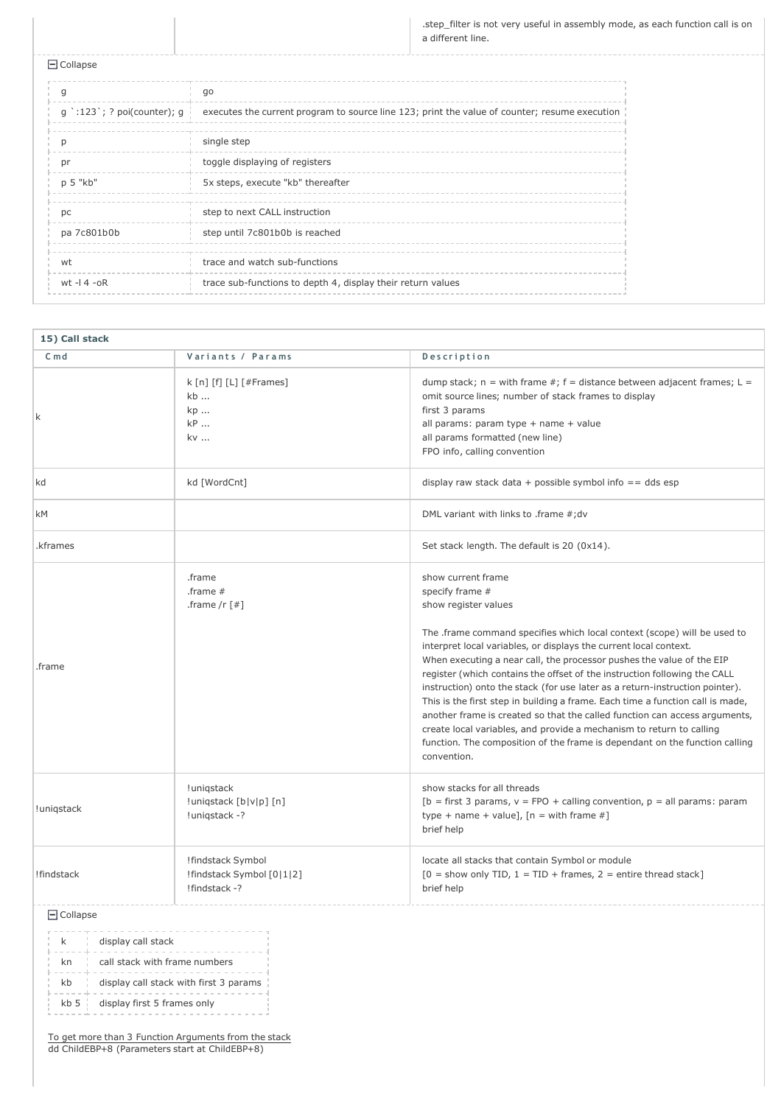.step\_filter is not very useful in assembly mode, as each function call is on a different line.

Collapse

|                                                        | go                                                                                            |
|--------------------------------------------------------|-----------------------------------------------------------------------------------------------|
| $g$ $\cdot$ :123 $\cdot$ ; ? poi(counter); $g \dagger$ | executes the current program to source line 123; print the value of counter; resume execution |
|                                                        | single step                                                                                   |
| nr                                                     | toggle displaying of registers                                                                |
| p 5 "kb"                                               | 5x steps, execute "kb" thereafter                                                             |
| рc                                                     | step to next CALL instruction                                                                 |
| pa 7c801b0b                                            | step until 7c801b0b is reached                                                                |
| wt                                                     | trace and watch sub-functions                                                                 |
| wt $-14 - 0R$                                          | trace sub-functions to depth 4, display their return values                                   |

| 15) Call stack  |                                                                 |                                                                                                                                                                                                                                                                                                                                                                                                                                                                                                                                                                                                                                                                                                                                                                                            |  |  |
|-----------------|-----------------------------------------------------------------|--------------------------------------------------------------------------------------------------------------------------------------------------------------------------------------------------------------------------------------------------------------------------------------------------------------------------------------------------------------------------------------------------------------------------------------------------------------------------------------------------------------------------------------------------------------------------------------------------------------------------------------------------------------------------------------------------------------------------------------------------------------------------------------------|--|--|
| $C \text{ m} d$ | Variants / Params                                               | Description                                                                                                                                                                                                                                                                                                                                                                                                                                                                                                                                                                                                                                                                                                                                                                                |  |  |
| k               | k [n] [f] [L] [#Frames]<br>kb<br>kp<br>kP<br>kv                 | dump stack; $n =$ with frame #; $f =$ distance between adjacent frames; $L =$<br>omit source lines; number of stack frames to display<br>first 3 params<br>all params: param type + name + value<br>all params formatted (new line)<br>FPO info, calling convention                                                                                                                                                                                                                                                                                                                                                                                                                                                                                                                        |  |  |
| kd              | kd [WordCnt]                                                    | display raw stack data + possible symbol info $==$ dds esp                                                                                                                                                                                                                                                                                                                                                                                                                                                                                                                                                                                                                                                                                                                                 |  |  |
| <b>kM</b>       |                                                                 | DML variant with links to .frame #; dv                                                                                                                                                                                                                                                                                                                                                                                                                                                                                                                                                                                                                                                                                                                                                     |  |  |
| .kframes        |                                                                 | Set stack length. The default is 20 (0x14).                                                                                                                                                                                                                                                                                                                                                                                                                                                                                                                                                                                                                                                                                                                                                |  |  |
| .frame          | .frame<br>.frame $#$<br>.frame /r $\lceil # \rceil$             | show current frame<br>specify frame #<br>show register values<br>The .frame command specifies which local context (scope) will be used to<br>interpret local variables, or displays the current local context.<br>When executing a near call, the processor pushes the value of the EIP<br>register (which contains the offset of the instruction following the CALL<br>instruction) onto the stack (for use later as a return-instruction pointer).<br>This is the first step in building a frame. Each time a function call is made,<br>another frame is created so that the called function can access arguments,<br>create local variables, and provide a mechanism to return to calling<br>function. The composition of the frame is dependant on the function calling<br>convention. |  |  |
| !uniqstack      | !uniqstack<br>!uniqstack [b v p] [n]<br>!uniqstack -?           | show stacks for all threads<br>[b = first 3 params, $v = FPO + calling convention$ , $p = all$ params: param<br>type + name + value], $[n = with frame #]$<br>brief help                                                                                                                                                                                                                                                                                                                                                                                                                                                                                                                                                                                                                   |  |  |
| !findstack      | !findstack Symbol<br>!findstack Symbol [0 1 2]<br>!findstack -? | locate all stacks that contain Symbol or module<br>$[0 =$ show only TID, $1 =$ TID + frames, $2 =$ entire thread stack]<br>brief help                                                                                                                                                                                                                                                                                                                                                                                                                                                                                                                                                                                                                                                      |  |  |

 $\Box$  Collapse

|            | display call stack                     |
|------------|----------------------------------------|
| kn         | call stack with frame numbers          |
| kb         | display call stack with first 3 params |
| $kb$ 5 $i$ | display first 5 frames only            |

To get more than 3 Function Arguments from the stack dd ChildEBP+8 (Parameters start at ChildEBP+8)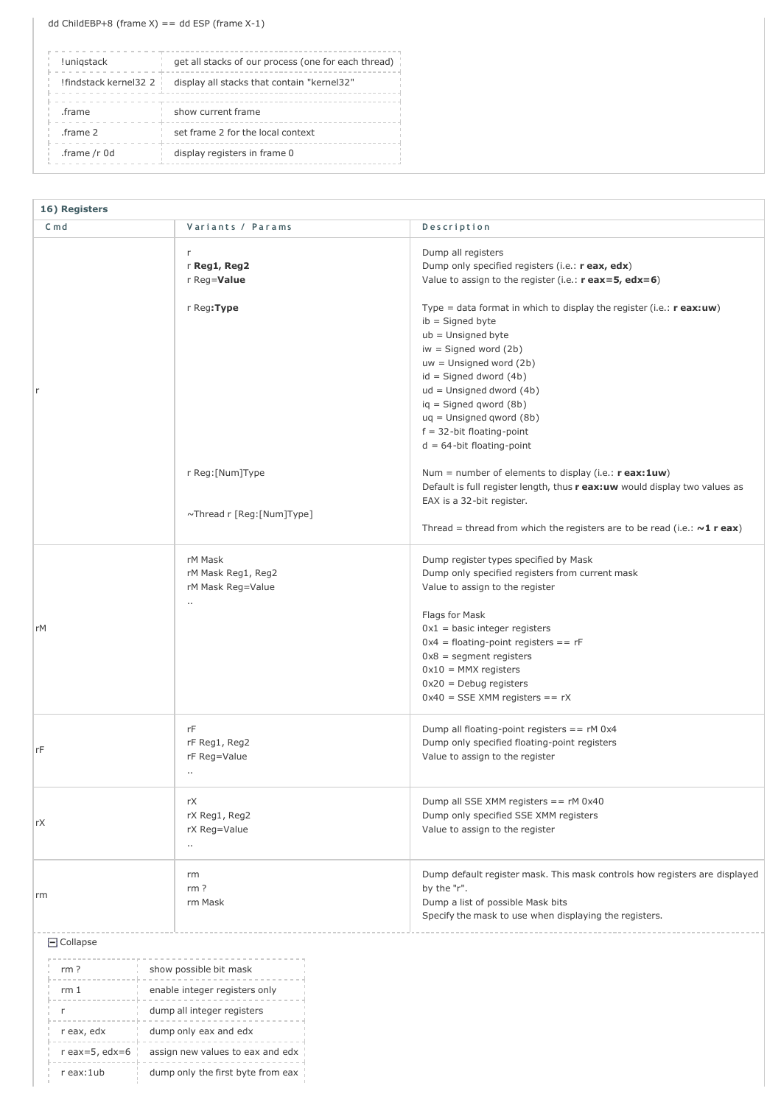| !unigstack              | get all stacks of our process (one for each thread) |  |
|-------------------------|-----------------------------------------------------|--|
| ! findstack kernel 32 2 | display all stacks that contain "kernel32"          |  |
| .frame                  | show current frame                                  |  |
| .frame 2                | set frame 2 for the local context                   |  |
| .frame /r 0d            | display registers in frame 0                        |  |

| 16) Registers                                      |                                                 |                                                                                                                                                                                                                                                                                                                                                                          |
|----------------------------------------------------|-------------------------------------------------|--------------------------------------------------------------------------------------------------------------------------------------------------------------------------------------------------------------------------------------------------------------------------------------------------------------------------------------------------------------------------|
| $C$ md                                             | Variants / Params                               | Description                                                                                                                                                                                                                                                                                                                                                              |
|                                                    | r<br>r Reg1, Reg2<br>r Reg=Value                | Dump all registers<br>Dump only specified registers (i.e.: r eax, edx)<br>Value to assign to the register (i.e.: $r$ eax=5, edx=6)                                                                                                                                                                                                                                       |
| r                                                  | r Reg:Type                                      | Type = data format in which to display the register (i.e.: $r$ eax:uw)<br>$ib =$ Signed byte<br>$ub =$ Unsigned byte<br>$iw =$ Signed word $(2b)$<br>$uw =$ Unsigned word $(2b)$<br>$id =$ Signed dword $(4b)$<br>$ud =$ Unsigned dword $(4b)$<br>$iq =$ Signed qword (8b)<br>$uq =$ Unsigned qword (8b)<br>$f = 32$ -bit floating-point<br>$d = 64$ -bit floating-point |
|                                                    | r Reg: [Num]Type                                | Num = number of elements to display (i.e.: $r$ eax: 1uw)<br>Default is full register length, thus r eax: uw would display two values as<br>EAX is a 32-bit register.                                                                                                                                                                                                     |
|                                                    | ~Thread r [Reg:[Num]Type]                       | Thread = thread from which the registers are to be read (i.e.: $\sim 1$ r eax)                                                                                                                                                                                                                                                                                           |
| rM Mask<br>rM Mask Reg1, Reg2<br>rM Mask Reg=Value |                                                 | Dump register types specified by Mask<br>Dump only specified registers from current mask<br>Value to assign to the register                                                                                                                                                                                                                                              |
| rМ                                                 | $\ldots$                                        | Flags for Mask<br>$0x1$ = basic integer registers<br>$0x4 =$ floating-point registers == rF<br>$0x8 = segment registers$<br>$0x10 = MMX$ registers<br>$0x20$ = Debug registers<br>$0x40 = SSE$ XMM registers == rX                                                                                                                                                       |
| rF                                                 | rF<br>rF Reg1, Reg2<br>rF Reg=Value<br>$\cdots$ | Dump all floating-point registers == rM 0x4<br>Dump only specified floating-point registers<br>Value to assign to the register                                                                                                                                                                                                                                           |
| rX                                                 | rX<br>rX Reg1, Reg2<br>rX Reg=Value<br>$\ldots$ | Dump all SSE XMM registers == rM 0x40<br>Dump only specified SSE XMM registers<br>Value to assign to the register                                                                                                                                                                                                                                                        |
| rm                                                 | rm<br>rm <sub>?</sub><br>rm Mask                | Dump default register mask. This mask controls how registers are displayed<br>by the "r".<br>Dump a list of possible Mask bits<br>Specify the mask to use when displaying the registers.                                                                                                                                                                                 |
| $\Box$ Collapse                                    |                                                 |                                                                                                                                                                                                                                                                                                                                                                          |
| rm <sub>?</sub>                                    | show possible bit mask                          |                                                                                                                                                                                                                                                                                                                                                                          |
| rm1                                                | enable integer registers only                   |                                                                                                                                                                                                                                                                                                                                                                          |
| r                                                  | dump all integer registers                      |                                                                                                                                                                                                                                                                                                                                                                          |
| r eax, edx                                         | dump only eax and edx                           |                                                                                                                                                                                                                                                                                                                                                                          |
| $r$ eax=5, edx=6                                   | assign new values to eax and edx                |                                                                                                                                                                                                                                                                                                                                                                          |
| r eax:1ub                                          | dump only the first byte from eax               |                                                                                                                                                                                                                                                                                                                                                                          |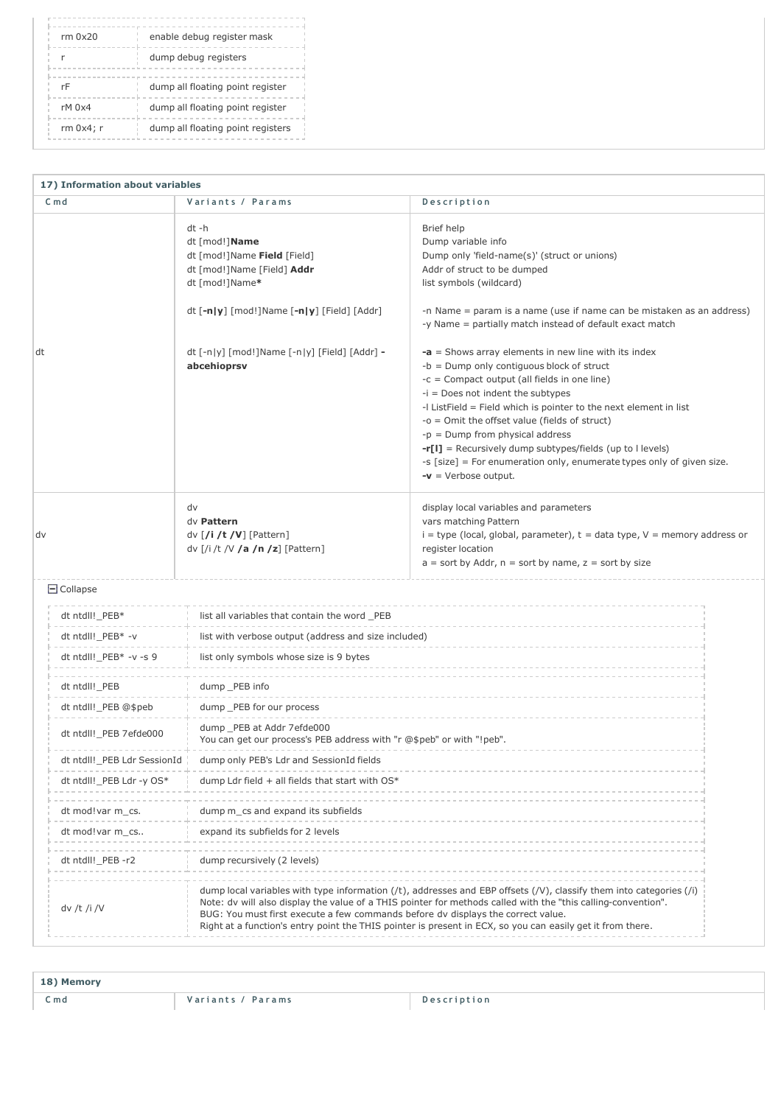| enable debug register mask        |
|-----------------------------------|
| dump debug registers              |
| dump all floating point register  |
| dump all floating point register  |
| dump all floating point registers |
|                                   |

| 17) Information about variables                                                                                                                                                                                                                                                                                                                                                                                                                                                                                       |                             |                                                                                                                                                         |                                                                                                                                                                                                                                                                                                                                                          |  |
|-----------------------------------------------------------------------------------------------------------------------------------------------------------------------------------------------------------------------------------------------------------------------------------------------------------------------------------------------------------------------------------------------------------------------------------------------------------------------------------------------------------------------|-----------------------------|---------------------------------------------------------------------------------------------------------------------------------------------------------|----------------------------------------------------------------------------------------------------------------------------------------------------------------------------------------------------------------------------------------------------------------------------------------------------------------------------------------------------------|--|
| $C \text{md}$                                                                                                                                                                                                                                                                                                                                                                                                                                                                                                         |                             | Variants / Params                                                                                                                                       | Description                                                                                                                                                                                                                                                                                                                                              |  |
|                                                                                                                                                                                                                                                                                                                                                                                                                                                                                                                       |                             | dt -h<br>dt [mod!]Name<br>dt [mod!]Name Field [Field]<br>dt [mod!]Name [Field] Addr<br>dt [mod!]Name*<br>dt $[-n y]$ [mod!]Name $[-n y]$ [Field] [Addr] | Brief help<br>Dump variable info<br>Dump only 'field-name(s)' (struct or unions)<br>Addr of struct to be dumped<br>list symbols (wildcard)<br>-n Name = param is a name (use if name can be mistaken as an address)                                                                                                                                      |  |
|                                                                                                                                                                                                                                                                                                                                                                                                                                                                                                                       |                             |                                                                                                                                                         | -y Name = partially match instead of default exact match                                                                                                                                                                                                                                                                                                 |  |
| dt [-n y] [mod!]Name [-n y] [Field] [Addr] -<br>$-a$ = Shows array elements in new line with its index<br>dt<br>abcehioprsv<br>$-b =$ Dump only contiguous block of struct<br>-c = Compact output (all fields in one line)<br>$-i$ = Does not indent the subtypes<br>-I ListField = Field which is pointer to the next element in list<br>-o = Omit the offset value (fields of struct)<br>$-p =$ Dump from physical address<br>$-r[1]$ = Recursively dump subtypes/fields (up to I levels)<br>$-v =$ Verbose output. |                             | -s [size] = For enumeration only, enumerate types only of given size.                                                                                   |                                                                                                                                                                                                                                                                                                                                                          |  |
| dv                                                                                                                                                                                                                                                                                                                                                                                                                                                                                                                    |                             | dv<br>dy <b>Pattern</b><br>dv $[$ / <b>i</b> / <b>t</b> / <b>V</b> $]$ [Pattern]<br>dv $\lceil$ /i /t /V /a /n /z] [Pattern]                            | display local variables and parameters<br>vars matching Pattern<br>$i =$ type (local, global, parameter), $t =$ data type, $V =$ memory address or<br>register location<br>$a = sort by Addr$ , $n = sort by name$ , $z = sort by size$                                                                                                                  |  |
|                                                                                                                                                                                                                                                                                                                                                                                                                                                                                                                       | $\Box$ Collapse             |                                                                                                                                                         |                                                                                                                                                                                                                                                                                                                                                          |  |
|                                                                                                                                                                                                                                                                                                                                                                                                                                                                                                                       | dt ntdll!_PEB*              | list all variables that contain the word _PEB                                                                                                           |                                                                                                                                                                                                                                                                                                                                                          |  |
|                                                                                                                                                                                                                                                                                                                                                                                                                                                                                                                       | dt ntdll!_PEB* -v           | list with verbose output (address and size included)                                                                                                    |                                                                                                                                                                                                                                                                                                                                                          |  |
|                                                                                                                                                                                                                                                                                                                                                                                                                                                                                                                       | dt ntdll!_PEB* -v -s 9      | list only symbols whose size is 9 bytes                                                                                                                 |                                                                                                                                                                                                                                                                                                                                                          |  |
|                                                                                                                                                                                                                                                                                                                                                                                                                                                                                                                       | dt ntdll!_PEB               | dump _PEB info                                                                                                                                          |                                                                                                                                                                                                                                                                                                                                                          |  |
|                                                                                                                                                                                                                                                                                                                                                                                                                                                                                                                       | dt ntdll!_PEB @\$peb        | dump _PEB for our process                                                                                                                               |                                                                                                                                                                                                                                                                                                                                                          |  |
|                                                                                                                                                                                                                                                                                                                                                                                                                                                                                                                       | dt ntdll!_PEB 7efde000      | dump_PEB at Addr 7efde000<br>You can get our process's PEB address with "r @\$peb" or with "!peb".                                                      |                                                                                                                                                                                                                                                                                                                                                          |  |
|                                                                                                                                                                                                                                                                                                                                                                                                                                                                                                                       | dt ntdll!_PEB Ldr SessionId | dump only PEB's Ldr and SessionId fields                                                                                                                |                                                                                                                                                                                                                                                                                                                                                          |  |
|                                                                                                                                                                                                                                                                                                                                                                                                                                                                                                                       | dt ntdll!_PEB Ldr -y OS*    | dump Ldr field $+$ all fields that start with OS*                                                                                                       |                                                                                                                                                                                                                                                                                                                                                          |  |
|                                                                                                                                                                                                                                                                                                                                                                                                                                                                                                                       | dt mod!var m_cs.            | dump m_cs and expand its subfields                                                                                                                      |                                                                                                                                                                                                                                                                                                                                                          |  |
|                                                                                                                                                                                                                                                                                                                                                                                                                                                                                                                       | dt mod!var m_cs             | expand its subfields for 2 levels                                                                                                                       |                                                                                                                                                                                                                                                                                                                                                          |  |
|                                                                                                                                                                                                                                                                                                                                                                                                                                                                                                                       | dt ntdll!_PEB -r2           | dump recursively (2 levels)                                                                                                                             |                                                                                                                                                                                                                                                                                                                                                          |  |
|                                                                                                                                                                                                                                                                                                                                                                                                                                                                                                                       | dv /t /i /V                 | BUG: You must first execute a few commands before dv displays the correct value.                                                                        | dump local variables with type information $(f)$ , addresses and EBP offsets $(f)'$ , classify them into categories $(f)$<br>Note: dv will also display the value of a THIS pointer for methods called with the "this calling-convention".<br>Right at a function's entry point the THIS pointer is present in ECX, so you can easily get it from there. |  |

18) Memory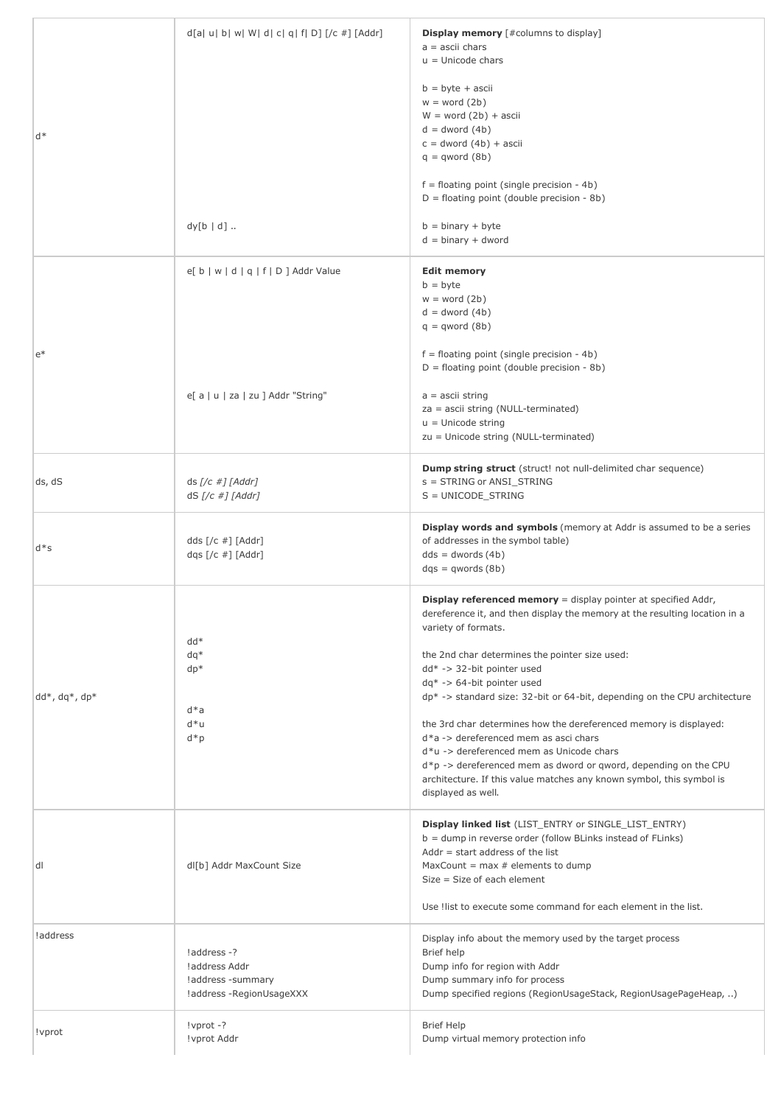| d*                       | $d[a u b w W d c q f D]$ [/c #] [Addr]<br>$dy[b   d]$                         | <b>Display memory</b> [#columns to display]<br>$a =$ ascii chars<br>$u =$ Unicode chars<br>$b = byte + ascii$<br>$w = word(2b)$<br>$W = word(2b) + ascii$<br>$d =$ dword $(4b)$<br>$c =$ dword $(4b) +$ ascii<br>$q = qword(8b)$<br>$f =$ floating point (single precision - 4b)<br>$D =$ floating point (double precision - 8b)<br>$b = binary + byte$<br>$d = binary + dword$                                                                                                                                                                                                                                                                                                                                   |
|--------------------------|-------------------------------------------------------------------------------|-------------------------------------------------------------------------------------------------------------------------------------------------------------------------------------------------------------------------------------------------------------------------------------------------------------------------------------------------------------------------------------------------------------------------------------------------------------------------------------------------------------------------------------------------------------------------------------------------------------------------------------------------------------------------------------------------------------------|
| $e^*$                    | $e[ b   w   d   q   f   D ]$ Addr Value<br>e[ a   u   za   zu ] Addr "String" | <b>Edit memory</b><br>$b = b$ yte<br>$w = word(2b)$<br>$d =$ dword $(4b)$<br>$q = qword(8b)$<br>$f =$ floating point (single precision - 4b)<br>$D =$ floating point (double precision - 8b)<br>$a =$ ascii string<br>$za = ascii$ string (NULL-terminated)<br>$u =$ Unicode string<br>zu = Unicode string (NULL-terminated)                                                                                                                                                                                                                                                                                                                                                                                      |
| ds, dS                   | $ds$ [/c #] [Addr]<br>$dS$ [/c #] [Addr]                                      | <b>Dump string struct</b> (struct! not null-delimited char sequence)<br>s = STRING or ANSI_STRING<br>$S = UNICODE\_STRING$                                                                                                                                                                                                                                                                                                                                                                                                                                                                                                                                                                                        |
| $d*s$                    | dds $\lceil$ / $\lfloor$ #] $\lfloor$ Addr $\rfloor$<br>dqs $[(c \#)]$ [Addr] | Display words and symbols (memory at Addr is assumed to be a series<br>of addresses in the symbol table)<br>$dds = dwords(4b)$<br>$dqs = qwords(8b)$                                                                                                                                                                                                                                                                                                                                                                                                                                                                                                                                                              |
| $dd^*$ , $dq^*$ , $dp^*$ | $dd*$<br>$dq*$<br>$dp*$<br>$d^*a$<br>$d * u$<br>$d^*p$                        | <b>Display referenced memory</b> = display pointer at specified Addr,<br>dereference it, and then display the memory at the resulting location in a<br>variety of formats.<br>the 2nd char determines the pointer size used:<br>dd* -> 32-bit pointer used<br>$dq^*$ -> 64-bit pointer used<br>dp* -> standard size: 32-bit or 64-bit, depending on the CPU architecture<br>the 3rd char determines how the dereferenced memory is displayed:<br>$d^*a$ -> dereferenced mem as asci chars<br>d*u -> dereferenced mem as Unicode chars<br>$d*p \rightarrow$ dereferenced mem as dword or gword, depending on the CPU<br>architecture. If this value matches any known symbol, this symbol is<br>displayed as well. |
| dl                       | dl[b] Addr MaxCount Size                                                      | <b>Display linked list</b> (LIST_ENTRY or SINGLE_LIST_ENTRY)<br>b = dump in reverse order (follow BLinks instead of FLinks)<br>Addr $=$ start address of the list<br>MaxCount = $max #$ elements to dump<br>Size = Size of each element<br>Use ! list to execute some command for each element in the list.                                                                                                                                                                                                                                                                                                                                                                                                       |
| !address                 | !address -?<br>!address Addr<br>!address -summary<br>!address -RegionUsageXXX | Display info about the memory used by the target process<br>Brief help<br>Dump info for region with Addr<br>Dump summary info for process<br>Dump specified regions (RegionUsageStack, RegionUsagePageHeap, )                                                                                                                                                                                                                                                                                                                                                                                                                                                                                                     |
| ! vprot                  | $!$ vprot $-?$<br>!vprot Addr                                                 | <b>Brief Help</b><br>Dump virtual memory protection info                                                                                                                                                                                                                                                                                                                                                                                                                                                                                                                                                                                                                                                          |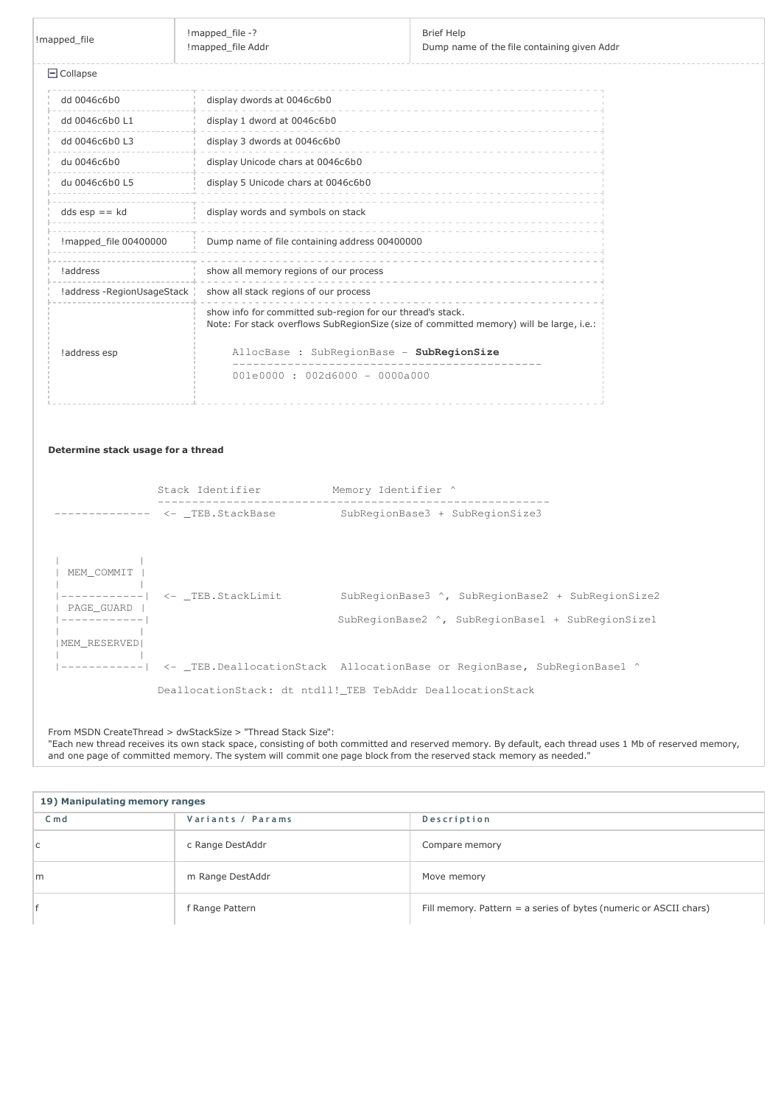| !mapped file               | !mapped_file -?<br>Imapped file Addr                       | <b>Brief Help</b><br>Dump name of the file containing given Addr                        |  |
|----------------------------|------------------------------------------------------------|-----------------------------------------------------------------------------------------|--|
| $\Box$ Collapse            |                                                            |                                                                                         |  |
| dd 0046c6b0                | display dwords at 0046c6b0                                 |                                                                                         |  |
| dd 0046c6b0 L1             | display 1 dword at 0046c6b0                                |                                                                                         |  |
| dd 0046c6b0 L3             | display 3 dwords at 0046c6b0                               |                                                                                         |  |
| du 0046c6b0                | display Unicode chars at 0046c6b0                          |                                                                                         |  |
| du 0046c6b0 L5             | display 5 Unicode chars at 0046c6b0                        |                                                                                         |  |
| $dds$ esp == $kd$          | display words and symbols on stack                         |                                                                                         |  |
| !mapped_file 00400000      | Dump name of file containing address 00400000              |                                                                                         |  |
| !address                   | show all memory regions of our process                     |                                                                                         |  |
| !address -RegionUsageStack | show all stack regions of our process                      |                                                                                         |  |
|                            | show info for committed sub-region for our thread's stack. | Note: For stack overflows SubRegionSize (size of committed memory) will be large, i.e.: |  |
| !address esp               |                                                            | AllocBase : SubRegionBase - SubRegionSize                                               |  |
|                            | $001e0000 : 002d6000 - 0000a000$                           |                                                                                         |  |
|                            |                                                            |                                                                                         |  |

## Determine stack usage for a thread

|                                                           | Stack Identifier                | Memory Identifier ^                                                                                    |
|-----------------------------------------------------------|---------------------------------|--------------------------------------------------------------------------------------------------------|
|                                                           | --------- <- TEB.StackBase      | SubRegionBase3 + SubRegionSize3                                                                        |
| MEM COMMIT<br>PAGE GUARD<br>------------<br>MEM RESERVEDI | ------------  <- TEB.StackLimit | SubRegionBase3 ^, SubRegionBase2 + SubRegionSize2<br>SubRegionBase2 ^, SubRegionBase1 + SubRegionSize1 |
|                                                           |                                 | ------------  <- _TEB.DeallocationStack AllocationBase or RegionBase, SubRegionBase1 ^                 |
|                                                           |                                 | DeallocationStack: dt ntdll! TEB TebAddr DeallocationStack                                             |

### From MSDN CreateThread > dwStackSize > "Thread Stack Size":

"Each new thread receives its own stack space, consisting of both committed and reserved memory. By default, each thread uses 1 Mb of reserved memory, and one page of committed memory. The system will commit one page block from the reserved stack memory as needed."

| 19) Manipulating memory ranges |                   |                                                                   |  |
|--------------------------------|-------------------|-------------------------------------------------------------------|--|
| $C \text{md}$                  | Variants / Params | Description                                                       |  |
| C.                             | c Range DestAddr  | Compare memory                                                    |  |
| m                              | m Range DestAddr  | Move memory                                                       |  |
|                                | f Range Pattern   | Fill memory. Pattern = a series of bytes (numeric or ASCII chars) |  |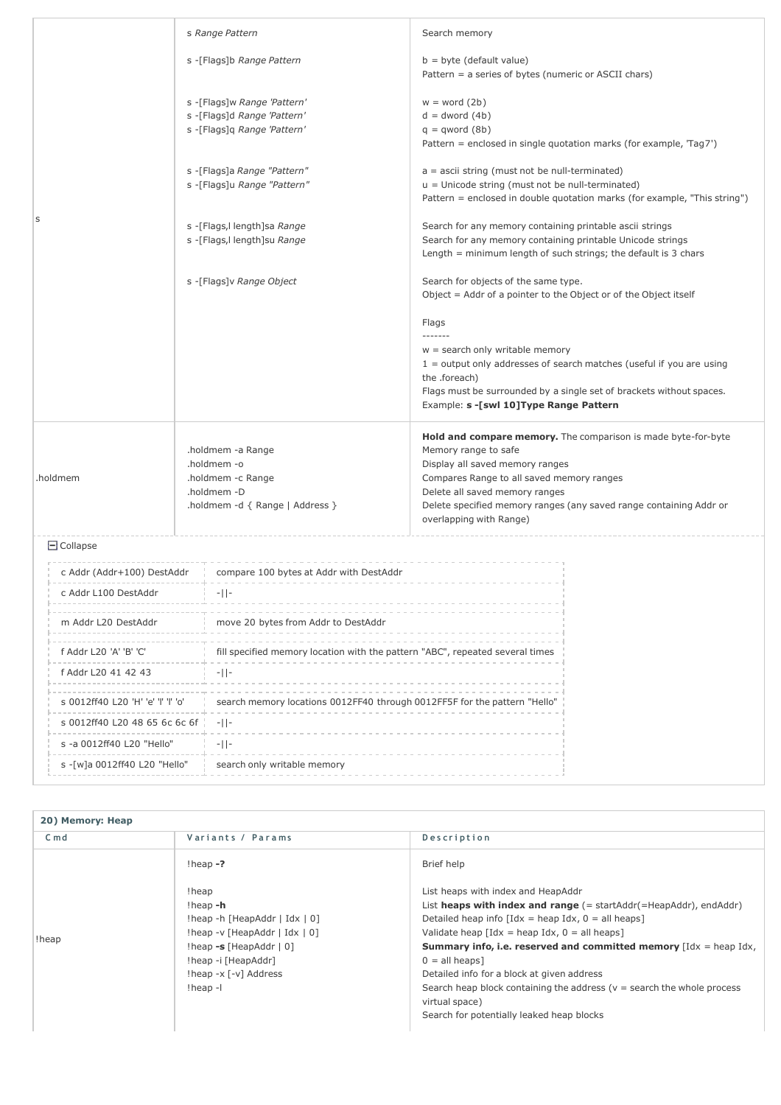| S                                                                     |                 |                                                             | s Range Pattern                                                                                         | Search memory                                                                                                                                                                                                                                                                                            |  |
|-----------------------------------------------------------------------|-----------------|-------------------------------------------------------------|---------------------------------------------------------------------------------------------------------|----------------------------------------------------------------------------------------------------------------------------------------------------------------------------------------------------------------------------------------------------------------------------------------------------------|--|
|                                                                       |                 |                                                             | s -[Flags]b Range Pattern                                                                               | $b = byte$ (default value)<br>Pattern = a series of bytes (numeric or ASCII chars)                                                                                                                                                                                                                       |  |
|                                                                       |                 |                                                             | s -[Flags]w Range 'Pattern'<br>s -[Flags]d Range 'Pattern'<br>s -[Flags]q Range 'Pattern'               | $w = word(2b)$<br>$d =$ dword $(4b)$<br>$q = qword(8b)$<br>Pattern = enclosed in single quotation marks (for example, 'Tag7')                                                                                                                                                                            |  |
|                                                                       |                 |                                                             | s -[Flags]a Range "Pattern"<br>s -[Flags]u Range "Pattern"                                              | $a =$ ascii string (must not be null-terminated)<br>u = Unicode string (must not be null-terminated)<br>Pattern = enclosed in double quotation marks (for example, "This string")                                                                                                                        |  |
|                                                                       |                 | s -[Flags, I length]sa Range<br>s -[Flags, llength]su Range |                                                                                                         | Search for any memory containing printable ascii strings<br>Search for any memory containing printable Unicode strings<br>Length $=$ minimum length of such strings; the default is 3 chars                                                                                                              |  |
|                                                                       |                 |                                                             | s -[Flags]v Range Object                                                                                | Search for objects of the same type.<br>Object = Addr of a pointer to the Object or of the Object itself                                                                                                                                                                                                 |  |
|                                                                       |                 |                                                             |                                                                                                         | Flags<br>-------<br>$w =$ search only writable memory<br>$1 =$ output only addresses of search matches (useful if you are using<br>the .foreach)                                                                                                                                                         |  |
|                                                                       |                 |                                                             |                                                                                                         | Flags must be surrounded by a single set of brackets without spaces.<br>Example: s -[swl 10] Type Range Pattern                                                                                                                                                                                          |  |
| .holdmem                                                              |                 |                                                             | .holdmem -a Range<br>.holdmem -o<br>.holdmem -c Range<br>.holdmem -D<br>.holdmem -d { Range   Address } | Hold and compare memory. The comparison is made byte-for-byte<br>Memory range to safe<br>Display all saved memory ranges<br>Compares Range to all saved memory ranges<br>Delete all saved memory ranges<br>Delete specified memory ranges (any saved range containing Addr or<br>overlapping with Range) |  |
|                                                                       | $\Box$ Collapse |                                                             |                                                                                                         |                                                                                                                                                                                                                                                                                                          |  |
| c Addr L100 DestAddr<br>m Addr L20 DestAddr<br>f Addr L20 'A' 'B' 'C' |                 |                                                             | c Addr (Addr+100) DestAddr compare 100 bytes at Addr with DestAddr                                      |                                                                                                                                                                                                                                                                                                          |  |
|                                                                       |                 |                                                             | $-11-$                                                                                                  |                                                                                                                                                                                                                                                                                                          |  |
|                                                                       |                 |                                                             | move 20 bytes from Addr to DestAddr                                                                     |                                                                                                                                                                                                                                                                                                          |  |
|                                                                       |                 |                                                             | fill specified memory location with the pattern "ABC", repeated several times                           |                                                                                                                                                                                                                                                                                                          |  |
| <b>f</b> Addr 1.20 41 42 43                                           |                 |                                                             | $-11-$                                                                                                  |                                                                                                                                                                                                                                                                                                          |  |

| m Addr L20 DestAddr                | move 20 bytes from Addr to DestAddr                                           |  |  |
|------------------------------------|-------------------------------------------------------------------------------|--|--|
| f Addr L20 'A' 'B' 'C'             | fill specified memory location with the pattern "ABC", repeated several times |  |  |
| f Addr L20 41 42 43                | $-11-$                                                                        |  |  |
| s 0012ff40 L20 'H' 'e' 'l' 'l' 'o' | search memory locations 0012FF40 through 0012FF5F for the pattern "Hello"     |  |  |
| s 0012ff40 L20 48 65 6c 6c 6f      | $-11-$                                                                        |  |  |
| s -a 0012ff40 L20 "Hello"          | $-11-$                                                                        |  |  |
| s - [w]a 0012ff40 L20 "Hello"      | search only writable memory                                                   |  |  |

## 20) Memory: Heap

| $C \text{md}$ | Variants / Params                                                                                                                                                                                     | Description                                                                                                                                                                                                                                                                                                                                                                                                                                                                                                                                                                           |
|---------------|-------------------------------------------------------------------------------------------------------------------------------------------------------------------------------------------------------|---------------------------------------------------------------------------------------------------------------------------------------------------------------------------------------------------------------------------------------------------------------------------------------------------------------------------------------------------------------------------------------------------------------------------------------------------------------------------------------------------------------------------------------------------------------------------------------|
|               | $l$ heap $-2$                                                                                                                                                                                         | Brief help                                                                                                                                                                                                                                                                                                                                                                                                                                                                                                                                                                            |
| !heap         | !heap<br>!heap -h<br>!heap -h [HeapAddr   Idx $\vert 0 \vert$ ]<br>$!$ heap -v [HeapAddr   Idx   0]<br>$l$ heap -s [Heap $Addr$   0]<br>!heap -i [HeapAddr]<br>!heap -x [-v] Address<br>$!$ heap $-1$ | List heaps with index and HeapAddr<br>List heaps with index and range (= startAddr(=HeapAddr), endAddr)<br>Detailed heap info $\left[$ Idx = heap Idx, 0 = all heaps $\right]$<br>Validate heap $\lceil \text{Idx} \rceil = \text{heap Idx}$ , $0 = \text{all heaps}$<br><b>Summary info, i.e. reserved and committed memory</b> $\left[Idx = \text{heap Id}x\right]$ ,<br>$0 =$ all heaps]<br>Detailed info for a block at given address<br>Search heap block containing the address ( $v =$ search the whole process<br>virtual space)<br>Search for potentially leaked heap blocks |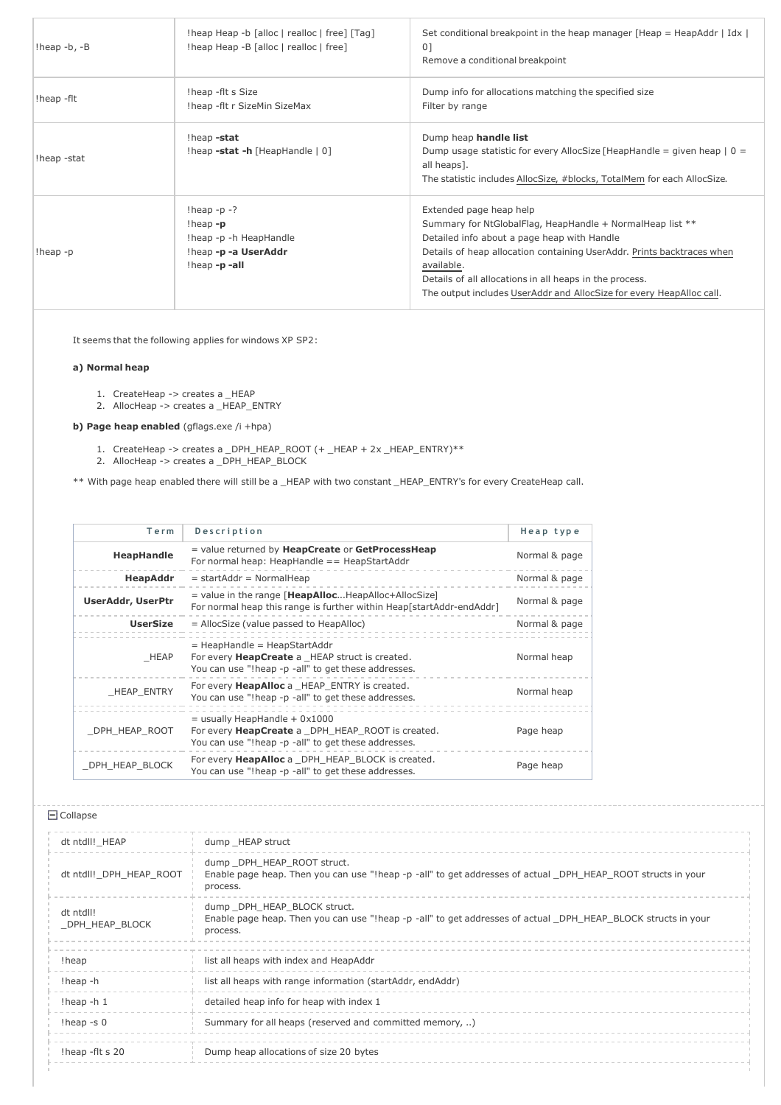| $!$ heap -b, -B | !heap Heap -b [alloc   realloc   free] [Tag]<br>!heap Heap -B [alloc   realloc   free]             | Set conditional breakpoint in the heap manager [Heap = HeapAddr   Idx  <br>01<br>Remove a conditional breakpoint                                                                                                                                                                                                                                               |
|-----------------|----------------------------------------------------------------------------------------------------|----------------------------------------------------------------------------------------------------------------------------------------------------------------------------------------------------------------------------------------------------------------------------------------------------------------------------------------------------------------|
| !heap -flt      | !heap -flt s Size<br>!heap -flt r SizeMin SizeMax                                                  | Dump info for allocations matching the specified size<br>Filter by range                                                                                                                                                                                                                                                                                       |
| !heap -stat     | !heap -stat<br>$[heap -stat -h [HeapHandle   0]$                                                   | Dump heap handle list<br>Dump usage statistic for every AllocSize [HeapHandle = given heap $ 0 =$<br>all heaps].<br>The statistic includes AllocSize, #blocks, TotalMem for each AllocSize.                                                                                                                                                                    |
| $!$ heap - $p$  | $!$ heap -p -?<br>$l$ heap $-p$<br>!heap -p -h HeapHandle<br>!heap -p -a UserAddr<br>!heap -p -all | Extended page heap help<br>Summary for NtGlobalFlag, HeapHandle + NormalHeap list **<br>Detailed info about a page heap with Handle<br>Details of heap allocation containing UserAddr. Prints backtraces when<br>available.<br>Details of all allocations in all heaps in the process.<br>The output includes UserAddr and AllocSize for every HeapAlloc call. |

It seems that the following applies for windows XP SP2:

## a) Normal heap

- 1. CreateHeap -> creates a \_HEAP
- 2. AllocHeap -> creates a \_HEAP\_ENTRY

b) Page heap enabled (gflags.exe /i +hpa)

- 1. CreateHeap -> creates a \_DPH\_HEAP\_ROOT (+ \_HEAP + 2x \_HEAP\_ENTRY)\*\*
- 2. AllocHeap -> creates a \_DPH\_HEAP\_BLOCK

\*\* With page heap enabled there will still be a \_HEAP with two constant \_HEAP\_ENTRY's for every CreateHeap call.

| Term                     | Description                                                                                                                                       | Heap type     |
|--------------------------|---------------------------------------------------------------------------------------------------------------------------------------------------|---------------|
| HeapHandle               | = value returned by HeapCreate or GetProcessHeap<br>For normal heap: HeapHandle $==$ HeapStartAddr                                                | Normal & page |
| HeapAddr                 | $=$ startAddr = NormalHeap                                                                                                                        | Normal & page |
| <b>UserAddr, UserPtr</b> | $=$ value in the range [HeapAllocHeapAlloc+AllocSize]<br>For normal heap this range is further within Heap[startAddr-endAddr]                     | Normal & page |
| <b>UserSize</b>          | $=$ AllocSize (value passed to HeapAlloc)                                                                                                         | Normal & page |
| HEAP                     | $=$ HeapHandle $=$ HeapStartAddr<br>For every <b>HeapCreate</b> a HEAP struct is created.<br>You can use "!heap -p -all" to get these addresses.  | Normal heap   |
| <b>HEAP ENTRY</b>        | For every <b>HeapAlloc</b> a HEAP ENTRY is created.<br>You can use "!heap -p -all" to get these addresses.                                        | Normal heap   |
| DPH HEAP ROOT            | $=$ usually HeapHandle + 0x1000<br>For every <b>HeapCreate</b> a DPH HEAP ROOT is created.<br>You can use "!heap -p -all" to get these addresses. | Page heap     |
| _DPH_HEAP_BLOCK          | For every <b>HeapAlloc</b> a DPH HEAP BLOCK is created.<br>You can use "!heap -p -all" to get these addresses.                                    | Page heap     |

| dt ntdll! HEAP              | dump HEAP struct                                                                                                                                         |
|-----------------------------|----------------------------------------------------------------------------------------------------------------------------------------------------------|
| dt ntdll! DPH HEAP ROOT     | dump DPH HEAP ROOT struct.<br>Enable page heap. Then you can use "!heap -p -all" to get addresses of actual _DPH_HEAP_ROOT structs in your<br>process.   |
| dt ntdll!<br>DPH HEAP BLOCK | dump DPH HEAP BLOCK struct.<br>Enable page heap. Then you can use "!heap -p -all" to get addresses of actual _DPH_HEAP_BLOCK structs in your<br>process. |
| !heap                       | list all heaps with index and HeapAddr                                                                                                                   |
| !heap -h                    | list all heaps with range information (startAddr, endAddr)                                                                                               |
| !heap -h $1$                | detailed heap info for heap with index 1                                                                                                                 |
| $l$ heap -s $0$             | Summary for all heaps (reserved and committed memory, )                                                                                                  |
| !heap -flt s 20             | Dump heap allocations of size 20 bytes                                                                                                                   |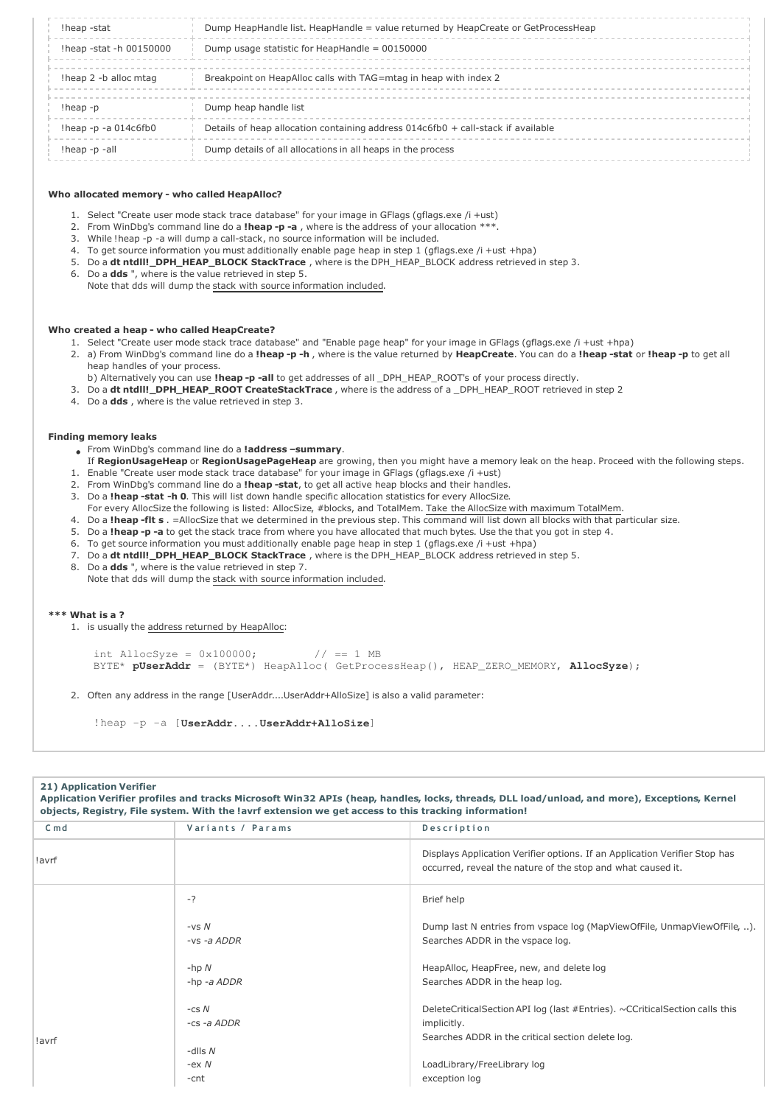| !heap -stat                 | Dump HeapHandle list. HeapHandle = value returned by HeapCreate or GetProcessHeap  |
|-----------------------------|------------------------------------------------------------------------------------|
| !heap -stat -h 00150000     | Dump usage statistic for HeapHandle = $00150000$                                   |
| theap 2 -b alloc mtag       | Breakpoint on HeapAlloc calls with TAG=mtag in heap with index 2                   |
| $l$ heap - $p$              | Dump heap handle list                                                              |
| $l$ heap -p -a 014 $c$ 6fb0 | Details of heap allocation containing address $014c6fb0 +$ call-stack if available |
| !heap -p -all               | Dump details of all allocations in all heaps in the process                        |

#### Who allocated memory - who called HeapAlloc?

- 1. Select "Create user mode stack trace database" for your image in GFlags (gflags.exe /i +ust)
- 2. From WinDbg's command line do a **!heap -p -a**, where is the address of your allocation \*\*\*.
- 3. While !heap -p -a will dump a call-stack, no source information will be included.
- 4. To get source information you must additionally enable page heap in step 1 (gflags.exe /i +ust +hpa)
- 5. Do a dt ntdll!\_DPH\_HEAP\_BLOCK StackTrace, where is the DPH\_HEAP\_BLOCK address retrieved in step 3.
- 6. Do a dds ", where is the value retrieved in step 5.
	- Note that dds will dump the stack with source information included.

#### Who created a heap - who called HeapCreate?

- 1. Select "Create user mode stack trace database" and "Enable page heap" for your image in GFlags (gflags.exe /i +ust +hpa)
- 2. a) From WinDbg's command line do a lheap -p -h, where is the value returned by HeapCreate. You can do a lheap -stat or lheap -p to get all heap handles of your process.
	- b) Alternatively you can use !heap -p -all to get addresses of all \_DPH\_HEAP\_ROOT's of your process directly.
- 3. Do a dt ntdll!\_DPH\_HEAP\_ROOT CreateStackTrace, where is the address of a \_DPH\_HEAP\_ROOT retrieved in step 2
- 4. Do a dds, where is the value retrieved in step 3.

#### Finding memory leaks

- From WinDbg's command line do a **!address -summary**.
- If RegionUsageHeap or RegionUsagePageHeap are growing, then you might have a memory leak on the heap. Proceed with the following steps. 1. Enable "Create user mode stack trace database" for your image in GFlags (gflags.exe /i +ust)
- 2. From WinDbg's command line do a lheap -stat, to get all active heap blocks and their handles.
- 3. Do a !heap -stat -h 0. This will list down handle specific allocation statistics for every AllocSize.
- For every AllocSize the following is listed: AllocSize, #blocks, and TotalMem. Take the AllocSize with maximum TotalMem.
- 4. Do a !heap -flt s . = AllocSize that we determined in the previous step. This command will list down all blocks with that particular size.
- 5. Do a !heap -p -a to get the stack trace from where you have allocated that much bytes. Use the that you got in step 4.
- 6. To get source information you must additionally enable page heap in step 1 (gflags.exe /i +ust +hpa)
- 7. Do a dt ntdll!\_DPH\_HEAP\_BLOCK StackTrace , where is the DPH\_HEAP\_BLOCK address retrieved in step 5.
- 8. Do a dds", where is the value retrieved in step 7.
	- Note that dds will dump the stack with source information included.

#### \*\*\* What is a ?

1. is usually the address returned by HeapAlloc:

```
int AllocSyze = 0x100000; // == 1 MBBYTE* pUserAddr = (BYTE*) HeapAlloc( GetProcessHeap(), HEAP_ZERO_MEMORY, AllocSyze);
```
2. Often any address in the range [UserAddr....UserAddr+AlloSize] is also a valid parameter:

!heap -p -a [**UserAddr....UserAddr+AlloSize**]

| <b>21) Application Verifier</b> | objects, Registry, File system. With the lavrf extension we get access to this tracking information! | Application Verifier profiles and tracks Microsoft Win32 APIs (heap, handles, locks, threads, DLL load/unload, and more), Exceptions, Kernel    |
|---------------------------------|------------------------------------------------------------------------------------------------------|-------------------------------------------------------------------------------------------------------------------------------------------------|
| $C \text{ m} d$                 | Variants / Params                                                                                    | Description                                                                                                                                     |
| !avrf                           |                                                                                                      | Displays Application Verifier options. If an Application Verifier Stop has<br>occurred, reveal the nature of the stop and what caused it.       |
|                                 | $-2$                                                                                                 | Brief help                                                                                                                                      |
|                                 | $-vsN$<br>$-vs -a$ ADDR                                                                              | Dump last N entries from vspace log (MapViewOfFile, UnmapViewOfFile, ).<br>Searches ADDR in the vspace log.                                     |
|                                 | $-hp N$<br>$-hp - a$ $ADDR$                                                                          | HeapAlloc, HeapFree, new, and delete log<br>Searches ADDR in the heap log.                                                                      |
| !avrf                           | $-csN$<br>-cs -a ADDR                                                                                | DeleteCriticalSection API log (last #Entries). ~CCriticalSection calls this<br>implicitly.<br>Searches ADDR in the critical section delete log. |
|                                 | -dlls $N$<br>$-ex N$<br>-cnt                                                                         | LoadLibrary/FreeLibrary log<br>exception log                                                                                                    |